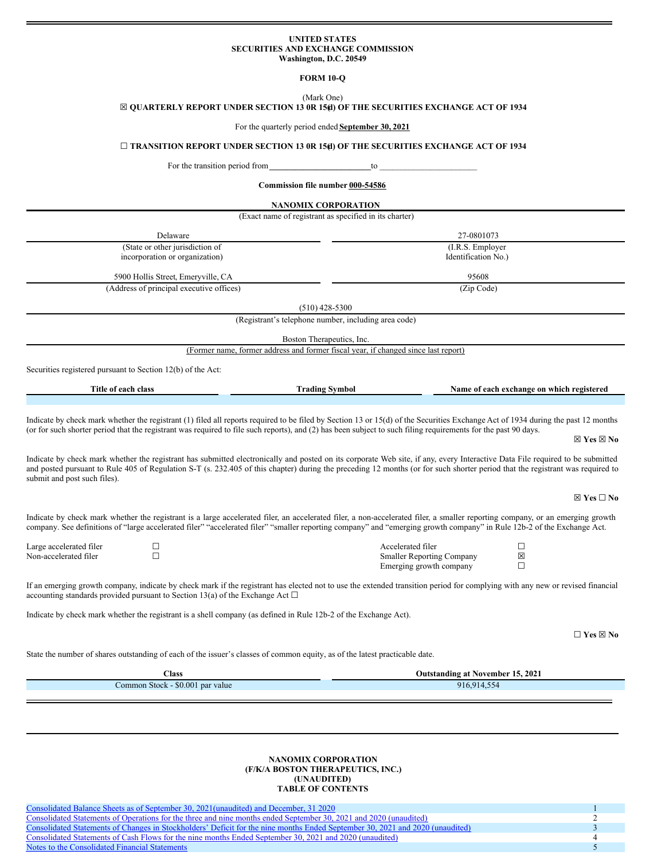# **UNITED STATES SECURITIES AND EXCHANGE COMMISSION Washington, D.C. 20549**

**FORM 10-Q**

(Mark One)

<span id="page-0-0"></span>**☒ QUARTERLY REPORT UNDER SECTION 13 0R 15(d) OF THE SECURITIES EXCHANGE ACT OF 1934**

For the quarterly period ended **September 30, 2021**

**☐ TRANSITION REPORT UNDER SECTION 13 0R 15(d) OF THE SECURITIES EXCHANGE ACT OF 1934**

For the transition period from**\_\_\_\_\_\_\_\_\_\_\_\_\_\_\_\_\_\_\_\_\_\_\_\_**to \_\_\_\_\_\_\_\_\_\_\_\_\_\_\_\_\_\_\_\_\_\_\_

**Commission file number 000-54586**

**NANOMIX CORPORATION**

|                                                                                    | (Exact name of registrant as specified in its charter)                                                                      |                                                                                                                                                                                                                                                                                                                                                                                                                                                                                                                                                                                                                                                                                                                                                        |  |  |  |  |  |  |  |
|------------------------------------------------------------------------------------|-----------------------------------------------------------------------------------------------------------------------------|--------------------------------------------------------------------------------------------------------------------------------------------------------------------------------------------------------------------------------------------------------------------------------------------------------------------------------------------------------------------------------------------------------------------------------------------------------------------------------------------------------------------------------------------------------------------------------------------------------------------------------------------------------------------------------------------------------------------------------------------------------|--|--|--|--|--|--|--|
| Delaware                                                                           |                                                                                                                             | 27-0801073                                                                                                                                                                                                                                                                                                                                                                                                                                                                                                                                                                                                                                                                                                                                             |  |  |  |  |  |  |  |
| (State or other jurisdiction of                                                    |                                                                                                                             | (I.R.S. Employer                                                                                                                                                                                                                                                                                                                                                                                                                                                                                                                                                                                                                                                                                                                                       |  |  |  |  |  |  |  |
| incorporation or organization)                                                     |                                                                                                                             | Identification No.)                                                                                                                                                                                                                                                                                                                                                                                                                                                                                                                                                                                                                                                                                                                                    |  |  |  |  |  |  |  |
| 5900 Hollis Street, Emeryville, CA                                                 |                                                                                                                             | 95608                                                                                                                                                                                                                                                                                                                                                                                                                                                                                                                                                                                                                                                                                                                                                  |  |  |  |  |  |  |  |
| (Address of principal executive offices)                                           |                                                                                                                             | (Zip Code)                                                                                                                                                                                                                                                                                                                                                                                                                                                                                                                                                                                                                                                                                                                                             |  |  |  |  |  |  |  |
|                                                                                    |                                                                                                                             |                                                                                                                                                                                                                                                                                                                                                                                                                                                                                                                                                                                                                                                                                                                                                        |  |  |  |  |  |  |  |
|                                                                                    | $(510)$ 428-5300                                                                                                            |                                                                                                                                                                                                                                                                                                                                                                                                                                                                                                                                                                                                                                                                                                                                                        |  |  |  |  |  |  |  |
|                                                                                    | (Registrant's telephone number, including area code)                                                                        |                                                                                                                                                                                                                                                                                                                                                                                                                                                                                                                                                                                                                                                                                                                                                        |  |  |  |  |  |  |  |
|                                                                                    | Boston Therapeutics, Inc.                                                                                                   |                                                                                                                                                                                                                                                                                                                                                                                                                                                                                                                                                                                                                                                                                                                                                        |  |  |  |  |  |  |  |
|                                                                                    | (Former name, former address and former fiscal year, if changed since last report)                                          |                                                                                                                                                                                                                                                                                                                                                                                                                                                                                                                                                                                                                                                                                                                                                        |  |  |  |  |  |  |  |
| Securities registered pursuant to Section 12(b) of the Act:                        |                                                                                                                             |                                                                                                                                                                                                                                                                                                                                                                                                                                                                                                                                                                                                                                                                                                                                                        |  |  |  |  |  |  |  |
|                                                                                    |                                                                                                                             |                                                                                                                                                                                                                                                                                                                                                                                                                                                                                                                                                                                                                                                                                                                                                        |  |  |  |  |  |  |  |
| Title of each class                                                                | <b>Trading Symbol</b>                                                                                                       | Name of each exchange on which registered                                                                                                                                                                                                                                                                                                                                                                                                                                                                                                                                                                                                                                                                                                              |  |  |  |  |  |  |  |
|                                                                                    |                                                                                                                             | Indicate by check mark whether the registrant (1) filed all reports required to be filed by Section 13 or 15(d) of the Securities Exchange Act of 1934 during the past 12 months<br>(or for such shorter period that the registrant was required to file such reports), and (2) has been subject to such filing requirements for the past 90 days.<br>$\boxtimes$ Yes $\boxtimes$ No<br>Indicate by check mark whether the registrant has submitted electronically and posted on its corporate Web site, if any, every Interactive Data File required to be submitted<br>and posted pursuant to Rule 405 of Regulation S-T (s. 232.405 of this chapter) during the preceding 12 months (or for such shorter period that the registrant was required to |  |  |  |  |  |  |  |
| submit and post such files).                                                       |                                                                                                                             | $\boxtimes$ Yes $\Box$ No                                                                                                                                                                                                                                                                                                                                                                                                                                                                                                                                                                                                                                                                                                                              |  |  |  |  |  |  |  |
|                                                                                    |                                                                                                                             | Indicate by check mark whether the registrant is a large accelerated filer, an accelerated filer, a non-accelerated filer, a smaller reporting company, or an emerging growth<br>company. See definitions of "large accelerated filer" "accelerated filer" "smaller reporting company" and "emerging growth company" in Rule 12b-2 of the Exchange Act.                                                                                                                                                                                                                                                                                                                                                                                                |  |  |  |  |  |  |  |
| Large accelerated filer<br>$\Box$<br>$\Box$<br>Non-accelerated filer               |                                                                                                                             | Accelerated filer<br>$\Box$<br>$\times$<br><b>Smaller Reporting Company</b><br>$\Box$<br>Emerging growth company                                                                                                                                                                                                                                                                                                                                                                                                                                                                                                                                                                                                                                       |  |  |  |  |  |  |  |
| accounting standards provided pursuant to Section 13(a) of the Exchange Act $\Box$ |                                                                                                                             | If an emerging growth company, indicate by check mark if the registrant has elected not to use the extended transition period for complying with any new or revised financial                                                                                                                                                                                                                                                                                                                                                                                                                                                                                                                                                                          |  |  |  |  |  |  |  |
|                                                                                    | Indicate by check mark whether the registrant is a shell company (as defined in Rule 12b-2 of the Exchange Act).            |                                                                                                                                                                                                                                                                                                                                                                                                                                                                                                                                                                                                                                                                                                                                                        |  |  |  |  |  |  |  |
|                                                                                    |                                                                                                                             | $\Box$ Yes $\boxtimes$ No                                                                                                                                                                                                                                                                                                                                                                                                                                                                                                                                                                                                                                                                                                                              |  |  |  |  |  |  |  |
|                                                                                    | State the number of shares outstanding of each of the issuer's classes of common equity, as of the latest practicable date. |                                                                                                                                                                                                                                                                                                                                                                                                                                                                                                                                                                                                                                                                                                                                                        |  |  |  |  |  |  |  |
| <b>Class</b>                                                                       |                                                                                                                             | <b>Outstanding at November 15, 2021</b>                                                                                                                                                                                                                                                                                                                                                                                                                                                                                                                                                                                                                                                                                                                |  |  |  |  |  |  |  |
| Common Stock - \$0.001 par value                                                   |                                                                                                                             | 916,914,554                                                                                                                                                                                                                                                                                                                                                                                                                                                                                                                                                                                                                                                                                                                                            |  |  |  |  |  |  |  |

| <b>NANOMIX CORPORATION</b>        |
|-----------------------------------|
| (F/K/A BOSTON THERAPEUTICS, INC.) |
| (UNAUDITED)                       |
| <b>TABLE OF CONTENTS</b>          |

| Consolidated Balance Sheets as of September 30, 2021(unaudited) and December, 31 2020                                         |  |
|-------------------------------------------------------------------------------------------------------------------------------|--|
| Consolidated Statements of Operations for the three and nine months ended September 30, 2021 and 2020 (unaudited)             |  |
| Consolidated Statements of Changes in Stockholders' Deficit for the nine months Ended September 30, 2021 and 2020 (unaudited) |  |
| Consolidated Statements of Cash Flows for the nine months Ended September 30, 2021 and 2020 (unaudited)                       |  |
| Notes to the Consolidated Financial Statements                                                                                |  |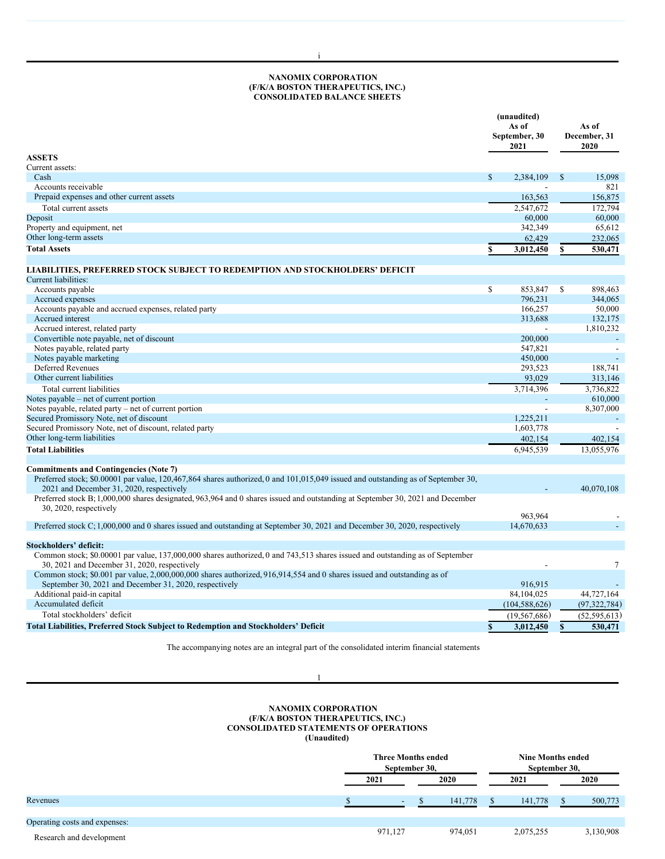#### **NANOMIX CORPORATION (F/K/A BOSTON THERAPEUTICS, INC.) CONSOLIDATED BALANCE SHEETS**

i

| <b>ASSETS</b>                                                                                                                                                                 |              | (unaudited)<br>As of<br>September, 30<br>2021 | As of<br>December, 31<br>2020 |                |
|-------------------------------------------------------------------------------------------------------------------------------------------------------------------------------|--------------|-----------------------------------------------|-------------------------------|----------------|
|                                                                                                                                                                               |              |                                               |                               |                |
| Current assets:                                                                                                                                                               | $\mathbf{s}$ |                                               |                               | 15,098         |
| Cash<br>Accounts receivable                                                                                                                                                   |              | 2.384.109                                     | <sup>\$</sup>                 | 821            |
| Prepaid expenses and other current assets                                                                                                                                     |              |                                               |                               |                |
|                                                                                                                                                                               |              | 163,563                                       |                               | 156,875        |
| Total current assets                                                                                                                                                          |              | 2,547,672                                     |                               | 172.794        |
| Deposit                                                                                                                                                                       |              | 60,000                                        |                               | 60,000         |
| Property and equipment, net<br>Other long-term assets                                                                                                                         |              | 342,349                                       |                               | 65,612         |
| <b>Total Assets</b>                                                                                                                                                           |              | 62,429                                        |                               | 232,065        |
|                                                                                                                                                                               | S            | 3,012,450                                     | \$                            | 530,471        |
| LIABILITIES, PREFERRED STOCK SUBJECT TO REDEMPTION AND STOCKHOLDERS' DEFICIT                                                                                                  |              |                                               |                               |                |
| Current liabilities:                                                                                                                                                          |              |                                               |                               |                |
| Accounts payable                                                                                                                                                              | \$           | 853,847                                       | $\mathbb{S}$                  | 898,463        |
| Accrued expenses                                                                                                                                                              |              | 796,231                                       |                               | 344,065        |
| Accounts payable and accrued expenses, related party                                                                                                                          |              | 166,257                                       |                               | 50,000         |
| Accrued interest                                                                                                                                                              |              | 313,688                                       |                               | 132,175        |
| Accrued interest, related party                                                                                                                                               |              | $\overline{\phantom{a}}$                      |                               | 1,810,232      |
| Convertible note payable, net of discount                                                                                                                                     |              | 200,000                                       |                               | $\blacksquare$ |
| Notes payable, related party                                                                                                                                                  |              | 547,821                                       |                               | $\sim$         |
| Notes payable marketing                                                                                                                                                       |              | 450,000                                       |                               |                |
| <b>Deferred Revenues</b>                                                                                                                                                      |              | 293,523                                       |                               | 188,741        |
| Other current liabilities                                                                                                                                                     |              | 93,029                                        |                               | 313,146        |
| Total current liabilities                                                                                                                                                     |              | 3,714,396                                     |                               | 3,736,822      |
| Notes payable – net of current portion                                                                                                                                        |              |                                               |                               | 610,000        |
| Notes payable, related party – net of current portion                                                                                                                         |              |                                               |                               | 8,307,000      |
| Secured Promissory Note, net of discount                                                                                                                                      |              | 1,225,211                                     |                               |                |
| Secured Promissory Note, net of discount, related party                                                                                                                       |              | 1,603,778                                     |                               |                |
| Other long-term liabilities                                                                                                                                                   |              | 402,154                                       |                               | 402,154        |
| <b>Total Liabilities</b>                                                                                                                                                      |              | 6,945,539                                     |                               | 13,055,976     |
|                                                                                                                                                                               |              |                                               |                               |                |
| <b>Commitments and Contingencies (Note 7)</b>                                                                                                                                 |              |                                               |                               |                |
| Preferred stock; \$0.00001 par value, 120,467,864 shares authorized, 0 and 101,015,049 issued and outstanding as of September 30,<br>2021 and December 31, 2020, respectively |              |                                               |                               | 40,070,108     |
| Preferred stock B; 1,000,000 shares designated, 963,964 and 0 shares issued and outstanding at September 30, 2021 and December                                                |              |                                               |                               |                |
| 30, 2020, respectively                                                                                                                                                        |              |                                               |                               |                |
|                                                                                                                                                                               |              | 963,964                                       |                               |                |
| Preferred stock C; 1,000,000 and 0 shares issued and outstanding at September 30, 2021 and December 30, 2020, respectively                                                    |              | 14,670,633                                    |                               |                |
| Stockholders' deficit:                                                                                                                                                        |              |                                               |                               |                |
| Common stock; \$0.00001 par value, 137,000,000 shares authorized, 0 and 743,513 shares issued and outstanding as of September                                                 |              |                                               |                               |                |
| 30, 2021 and December 31, 2020, respectively                                                                                                                                  |              |                                               |                               | $\tau$         |
| Common stock; \$0.001 par value, 2,000,000,000 shares authorized, 916,914,554 and 0 shares issued and outstanding as of                                                       |              |                                               |                               |                |
| September 30, 2021 and December 31, 2020, respectively                                                                                                                        |              | 916,915                                       |                               |                |
| Additional paid-in capital                                                                                                                                                    |              | 84,104,025                                    |                               | 44,727,164     |
| Accumulated deficit                                                                                                                                                           |              | (104, 588, 626)                               |                               | (97, 322, 784) |
| Total stockholders' deficit                                                                                                                                                   |              | (19, 567, 686)                                |                               | (52, 595, 613) |
| <b>Total Liabilities, Preferred Stock Subject to Redemption and Stockholders' Deficit</b>                                                                                     | \$           | 3,012,450                                     | \$                            | 530,471        |

The accompanying notes are an integral part of the consolidated interim financial statements

# 1

#### **NANOMIX CORPORATION (F/K/A BOSTON THERAPEUTICS, INC.) CONSOLIDATED STATEMENTS OF OPERATIONS (Unaudited)**

|                               |  | <b>Three Months ended</b><br>September 30, |  |         |  | <b>Nine Months ended</b><br>September 30, |  |           |  |
|-------------------------------|--|--------------------------------------------|--|---------|--|-------------------------------------------|--|-----------|--|
|                               |  | 2021                                       |  | 2020    |  | 2021                                      |  | 2020      |  |
| Revenues                      |  | $\overline{\phantom{0}}$                   |  | 141,778 |  | 141,778                                   |  | 500,773   |  |
| Operating costs and expenses: |  |                                            |  |         |  |                                           |  |           |  |
| Research and development      |  | 971,127                                    |  | 974,051 |  | 2,075,255                                 |  | 3,130,908 |  |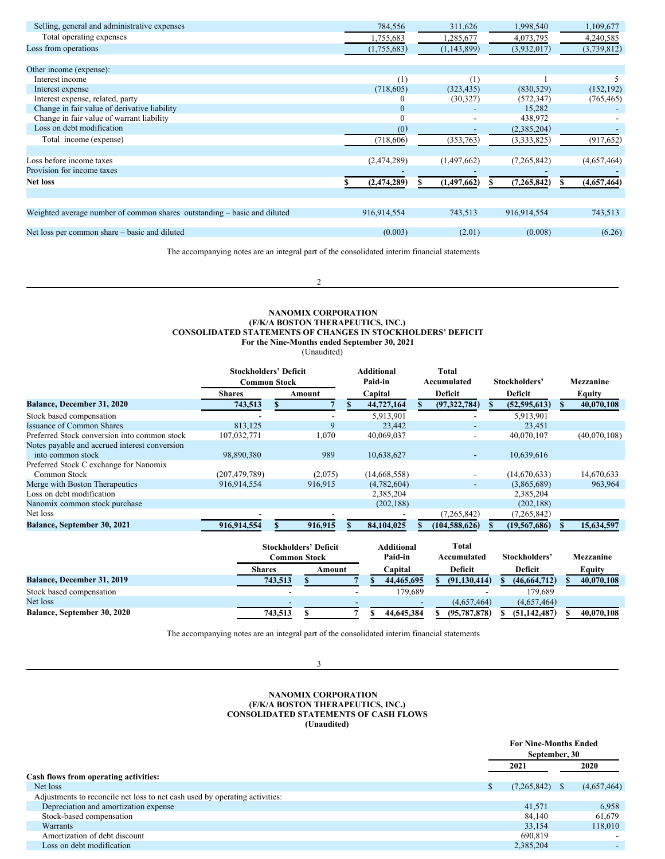| Selling, general and administrative expenses                             | 784,556      | 311,626       | 1,998,540   | 1,109,677   |
|--------------------------------------------------------------------------|--------------|---------------|-------------|-------------|
| Total operating expenses                                                 | 1,755,683    | 1,285,677     | 4,073,795   | 4,240,585   |
| Loss from operations                                                     | (1,755,683)  | (1, 143, 899) | (3,932,017) | (3,739,812) |
|                                                                          |              |               |             |             |
| Other income (expense):                                                  |              |               |             |             |
| Interest income                                                          | (1)          | (1)           |             |             |
| Interest expense                                                         | (718,605)    | (323, 435)    | (830, 529)  | (152, 192)  |
| Interest expense, related, party                                         | $\theta$     | (30,327)      | (572, 347)  | (765, 465)  |
| Change in fair value of derivative liability                             | $\mathbf{0}$ |               | 15,282      |             |
| Change in fair value of warrant liability                                |              |               | 438,972     |             |
| Loss on debt modification                                                | (0)          |               | (2,385,204) |             |
| Total income (expense)                                                   | (718, 606)   | (353,763)     | (3,333,825) | (917, 652)  |
|                                                                          |              |               |             |             |
| Loss before income taxes                                                 | (2,474,289)  | (1,497,662)   | (7,265,842) | (4,657,464) |
| Provision for income taxes                                               |              |               |             |             |
| <b>Net loss</b>                                                          | (2,474,289)  | (1,497,662)   | (7,265,842) | (4,657,464) |
|                                                                          |              |               |             |             |
|                                                                          |              |               |             |             |
| Weighted average number of common shares outstanding – basic and diluted | 916,914,554  | 743,513       | 916,914,554 | 743,513     |
|                                                                          |              |               |             |             |
| Net loss per common share – basic and diluted                            | (0.003)      | (2.01)        | (0.008)     | (6.26)      |
|                                                                          |              |               |             |             |

The accompanying notes are an integral part of the consolidated interim financial statements

2

# **NANOMIX CORPORATION (F/K/A BOSTON THERAPEUTICS, INC.) CONSOLIDATED STATEMENTS OF CHANGES IN STOCKHOLDERS' DEFICIT For the Nine-Months ended September 30, 2021**

| (Unaudited) |  |
|-------------|--|
|-------------|--|

|                                                                    |                 | <b>Stockholders' Deficit</b><br><b>Common Stock</b> |                                                     |   | <b>Additional</b><br>Paid-in |  | <b>Total</b><br>Accumulated |   | Stockholders'  |    | Mezzanine    |
|--------------------------------------------------------------------|-----------------|-----------------------------------------------------|-----------------------------------------------------|---|------------------------------|--|-----------------------------|---|----------------|----|--------------|
|                                                                    | <b>Shares</b>   |                                                     | Amount                                              |   | Capital                      |  | Deficit                     |   | <b>Deficit</b> |    | Equity       |
| Balance, December 31, 2020                                         | 743,513         |                                                     |                                                     | S | 44,727,164                   |  | (97, 322, 784)              | S | (52, 595, 613) | S. | 40,070,108   |
| Stock based compensation                                           |                 |                                                     |                                                     |   | 5,913,901                    |  |                             |   | 5,913,901      |    |              |
| <b>Issuance of Common Shares</b>                                   | 813,125         |                                                     | 9                                                   |   | 23,442                       |  | $\overline{\phantom{a}}$    |   | 23,451         |    |              |
| Preferred Stock conversion into common stock                       | 107,032,771     |                                                     | 1,070                                               |   | 40,069,037                   |  | $\overline{\phantom{a}}$    |   | 40,070,107     |    | (40,070,108) |
| Notes payable and accrued interest conversion<br>into common stock | 98,890,380      |                                                     | 989                                                 |   | 10,638,627                   |  | $\overline{\phantom{a}}$    |   | 10,639,616     |    |              |
| Preferred Stock C exchange for Nanomix                             |                 |                                                     |                                                     |   |                              |  |                             |   |                |    |              |
| Common Stock                                                       | (207, 479, 789) |                                                     | (2,075)                                             |   | (14, 668, 558)               |  |                             |   | (14,670,633)   |    | 14,670,633   |
| Merge with Boston Therapeutics                                     | 916,914,554     |                                                     | 916,915                                             |   | (4,782,604)                  |  | $\overline{\phantom{a}}$    |   | (3,865,689)    |    | 963,964      |
| Loss on debt modification                                          |                 |                                                     |                                                     |   | 2,385,204                    |  |                             |   | 2,385,204      |    |              |
| Nanomix common stock purchase                                      |                 |                                                     |                                                     |   | (202, 188)                   |  |                             |   | (202, 188)     |    |              |
| Net loss                                                           |                 |                                                     |                                                     |   |                              |  | (7,265,842)                 |   | (7,265,842)    |    |              |
| Balance, September 30, 2021                                        | 916,914,554     |                                                     | 916,915                                             |   | 84,104,025                   |  | (104, 588, 626)             |   | (19, 567, 686) |    | 15,634,597   |
|                                                                    |                 |                                                     | <b>Stockholders' Deficit</b><br><b>Common Stock</b> |   | Additional<br>Paid-in        |  | Total<br>Accumulated        |   | Stockholders'  |    | Mezzanine    |

|                                    | Common Stock  |        | Paid-in    | Accumulated    | Stockholders'  | Mezzanine  |
|------------------------------------|---------------|--------|------------|----------------|----------------|------------|
|                                    | <b>Shares</b> | Amount | Capital    | Deficit        | Deficit        | Equity     |
| <b>Balance, December 31, 2019</b>  | 743.513       |        | 44,465,695 | (91.130.414)   | (46, 664, 712) | 40,070,108 |
| Stock based compensation           |               |        | 179.689    |                | 179.689        |            |
| Net loss                           |               |        |            | (4.657.464)    | (4.657.464)    |            |
| <b>Balance, September 30, 2020</b> | 743,513       |        | 44,645,384 | (95, 787, 878) | (51.142.487)   | 40.070.108 |

The accompanying notes are an integral part of the consolidated interim financial statements

3

## **NANOMIX CORPORATION (F/K/A BOSTON THERAPEUTICS, INC.) CONSOLIDATED STATEMENTS OF CASH FLOWS (Unaudited)**

|                                                                             | <b>For Nine-Months Ended</b><br>September, 30 |             |
|-----------------------------------------------------------------------------|-----------------------------------------------|-------------|
|                                                                             | 2021                                          | 2020        |
| Cash flows from operating activities:                                       |                                               |             |
| Net loss                                                                    | (7,265,842)                                   | (4,657,464) |
| Adjustments to reconcile net loss to net cash used by operating activities: |                                               |             |
| Depreciation and amortization expense                                       | 41.571                                        | 6,958       |
| Stock-based compensation                                                    | 84,140                                        | 61.679      |
| Warrants                                                                    | 33.154                                        | 118,010     |
| Amortization of debt discount                                               | 690,819                                       |             |
| Loss on debt modification                                                   | 2,385,204                                     |             |
|                                                                             |                                               |             |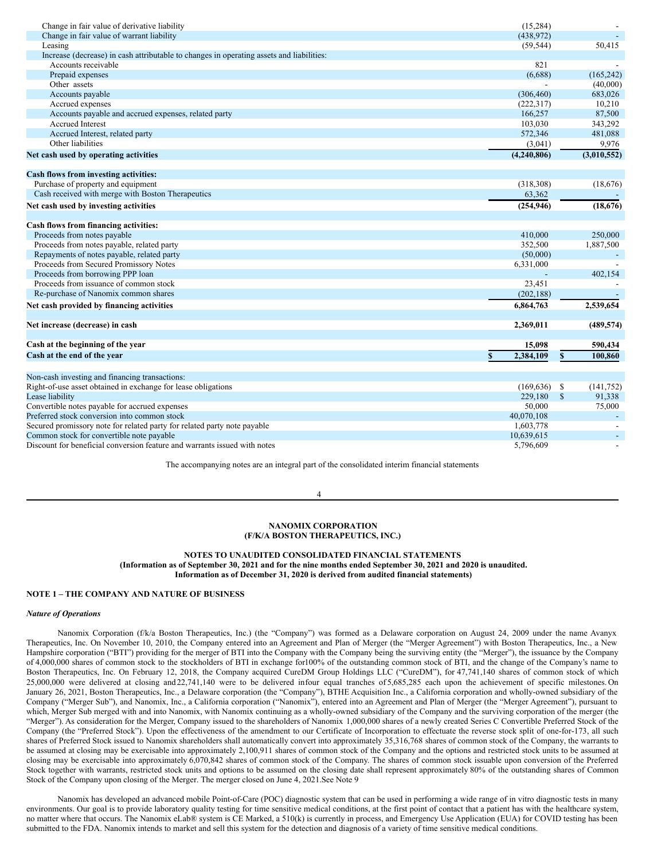| Change in fair value of derivative liability                                             | (15, 284)       |                        |
|------------------------------------------------------------------------------------------|-----------------|------------------------|
| Change in fair value of warrant liability                                                | (438,972)       |                        |
| Leasing                                                                                  | (59, 544)       | 50,415                 |
| Increase (decrease) in cash attributable to changes in operating assets and liabilities: |                 |                        |
| Accounts receivable                                                                      | 821             |                        |
| Prepaid expenses                                                                         | (6.688)         | (165, 242)             |
| Other assets                                                                             |                 | (40,000)               |
| Accounts payable                                                                         | (306, 460)      | 683,026                |
| Accrued expenses                                                                         | (222, 317)      | 10,210                 |
| Accounts payable and accrued expenses, related party                                     | 166,257         | 87.500                 |
| <b>Accrued Interest</b>                                                                  | 103,030         | 343,292                |
| Accrued Interest, related party                                                          | 572,346         | 481,088                |
| Other liabilities                                                                        | (3,041)         | 9,976                  |
| Net cash used by operating activities                                                    | (4,240,806)     | (3,010,552)            |
|                                                                                          |                 |                        |
| <b>Cash flows from investing activities:</b>                                             |                 |                        |
| Purchase of property and equipment                                                       | (318, 308)      | (18,676)               |
| Cash received with merge with Boston Therapeutics                                        | 63,362          |                        |
| Net cash used by investing activities                                                    | (254, 946)      | (18,676)               |
|                                                                                          |                 |                        |
| Cash flows from financing activities:                                                    |                 |                        |
| Proceeds from notes payable                                                              | 410,000         | 250,000                |
| Proceeds from notes payable, related party                                               | 352,500         | 1,887,500              |
| Repayments of notes payable, related party                                               | (50,000)        |                        |
| Proceeds from Secured Promissory Notes                                                   | 6,331,000       |                        |
| Proceeds from borrowing PPP loan                                                         |                 | 402,154                |
| Proceeds from issuance of common stock                                                   | 23,451          |                        |
| Re-purchase of Nanomix common shares                                                     | (202, 188)      |                        |
| Net cash provided by financing activities                                                | 6,864,763       | 2,539,654              |
|                                                                                          |                 |                        |
| Net increase (decrease) in cash                                                          | 2,369,011       | (489, 574)             |
| Cash at the beginning of the year                                                        | 15,098          | 590,434                |
| Cash at the end of the year                                                              | 2.384.109<br>\$ | 100.860<br>$\mathbf S$ |
|                                                                                          |                 |                        |
| Non-cash investing and financing transactions:                                           |                 |                        |
| Right-of-use asset obtained in exchange for lease obligations                            | (169, 636)      | (141, 752)<br>\$       |
| Lease liability                                                                          | 229,180         | $\mathbf S$<br>91,338  |
| Convertible notes payable for accrued expenses                                           | 50,000          | 75,000                 |
| Preferred stock conversion into common stock                                             | 40,070,108      |                        |
| Secured promissory note for related party for related party note payable                 | 1,603,778       |                        |
| Common stock for convertible note payable                                                | 10,639,615      |                        |
| Discount for beneficial conversion feature and warrants issued with notes                | 5,796,609       |                        |
|                                                                                          |                 |                        |

The accompanying notes are an integral part of the consolidated interim financial statements

4

# **NANOMIX CORPORATION (F/K/A BOSTON THERAPEUTICS, INC.)**

# **NOTES TO UNAUDITED CONSOLIDATED FINANCIAL STATEMENTS** (Information as of September 30, 2021 and for the nine months ended September 30, 2021 and 2020 is unaudited. **Information as of December 31, 2020 is derived from audited financial statements)**

# **NOTE 1 – THE COMPANY AND NATURE OF BUSINESS**

### *Nature of Operations*

Nanomix Corporation (f/k/a Boston Therapeutics, Inc.) (the "Company") was formed as a Delaware corporation on August 24, 2009 under the name Avanyx Therapeutics, Inc. On November 10, 2010, the Company entered into an Agreement and Plan of Merger (the "Merger Agreement") with Boston Therapeutics, Inc., a New Hampshire corporation ("BTI") providing for the merger of BTI into the Company with the Company being the surviving entity (the "Merger"), the issuance by the Company of 4,000,000 shares of common stock to the stockholders of BTI in exchange for100% of the outstanding common stock of BTI, and the change of the Company's name to Boston Therapeutics, Inc. On February 12, 2018, the Company acquired CureDM Group Holdings LLC ("CureDM"), for 47,741,140 shares of common stock of which 25,000,000 were delivered at closing and22,741,140 were to be delivered infour equal tranches of 5,685,285 each upon the achievement of specific milestones. On January 26, 2021, Boston Therapeutics, Inc., a Delaware corporation (the "Company"), BTHE Acquisition Inc., a California corporation and wholly-owned subsidiary of the Company ("Merger Sub"), and Nanomix, Inc., a California corporation ("Nanomix"), entered into an Agreement and Plan of Merger (the "Merger Agreement"), pursuant to which, Merger Sub merged with and into Nanomix, with Nanomix continuing as a wholly-owned subsidiary of the Company and the surviving corporation of the merger (the "Merger"). As consideration for the Merger, Company issued to the shareholders of Nanomix 1,000,000 shares of a newly created Series C Convertible Preferred Stock of the Company (the "Preferred Stock"). Upon the effectiveness of the amendment to our Certificate of Incorporation to effectuate the reverse stock split of one-for-173, all such shares of Preferred Stock issued to Nanomix shareholders shall automatically convert into approximately 35,316,768 shares of common stock of the Company, the warrants to be assumed at closing may be exercisable into approximately 2,100,911 shares of common stock of the Company and the options and restricted stock units to be assumed at closing may be exercisable into approximately 6,070,842 shares of common stock of the Company. The shares of common stock issuable upon conversion of the Preferred Stock together with warrants, restricted stock units and options to be assumed on the closing date shall represent approximately 80% of the outstanding shares of Common Stock of the Company upon closing of the Merger. The merger closed on June 4, 2021.See Note 9

Nanomix has developed an advanced mobile Point-of-Care (POC) diagnostic system that can be used in performing a wide range of in vitro diagnostic tests in many environments. Our goal is to provide laboratory quality testing for time sensitive medical conditions, at the first point of contact that a patient has with the healthcare system, no matter where that occurs. The Nanomix eLab® system is CE Marked, a 510(k) is currently in process, and Emergency Use Application (EUA) for COVID testing has been submitted to the FDA. Nanomix intends to market and sell this system for the detection and diagnosis of a variety of time sensitive medical conditions.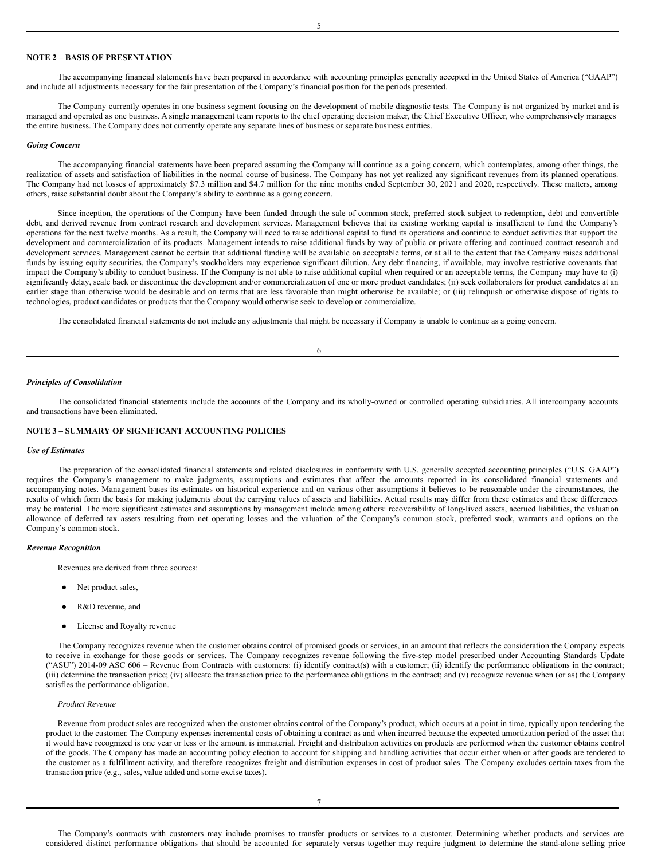# **NOTE 2 – BASIS OF PRESENTATION**

The accompanying financial statements have been prepared in accordance with accounting principles generally accepted in the United States of America ("GAAP") and include all adjustments necessary for the fair presentation of the Company's financial position for the periods presented.

The Company currently operates in one business segment focusing on the development of mobile diagnostic tests. The Company is not organized by market and is managed and operated as one business. A single management team reports to the chief operating decision maker, the Chief Executive Officer, who comprehensively manages the entire business. The Company does not currently operate any separate lines of business or separate business entities.

#### *Going Concern*

The accompanying financial statements have been prepared assuming the Company will continue as a going concern, which contemplates, among other things, the realization of assets and satisfaction of liabilities in the normal course of business. The Company has not yet realized any significant revenues from its planned operations. The Company had net losses of approximately \$7.3 million and \$4.7 million for the nine months ended September 30, 2021 and 2020, respectively. These matters, among others, raise substantial doubt about the Company's ability to continue as a going concern.

Since inception, the operations of the Company have been funded through the sale of common stock, preferred stock subject to redemption, debt and convertible debt, and derived revenue from contract research and development services. Management believes that its existing working capital is insufficient to fund the Company's operations for the next twelve months. As a result, the Company will need to raise additional capital to fund its operations and continue to conduct activities that support the development and commercialization of its products. Management intends to raise additional funds by way of public or private offering and continued contract research and development services. Management cannot be certain that additional funding will be available on acceptable terms, or at all to the extent that the Company raises additional funds by issuing equity securities, the Company's stockholders may experience significant dilution. Any debt financing, if available, may involve restrictive covenants that impact the Company's ability to conduct business. If the Company is not able to raise additional capital when required or an acceptable terms, the Company may have to (i) significantly delay, scale back or discontinue the development and/or commercialization of one or more product candidates; (ii) seek collaborators for product candidates at an earlier stage than otherwise would be desirable and on terms that are less favorable than might otherwise be available; or (iii) relinquish or otherwise dispose of rights to technologies, product candidates or products that the Company would otherwise seek to develop or commercialize.

The consolidated financial statements do not include any adjustments that might be necessary if Company is unable to continue as a going concern.

#### 6

#### *Principles of Consolidation*

The consolidated financial statements include the accounts of the Company and its wholly-owned or controlled operating subsidiaries. All intercompany accounts and transactions have been eliminated.

# **NOTE 3 – SUMMARY OF SIGNIFICANT ACCOUNTING POLICIES**

#### *Use of Estimates*

The preparation of the consolidated financial statements and related disclosures in conformity with U.S. generally accepted accounting principles ("U.S. GAAP") requires the Company's management to make judgments, assumptions and estimates that affect the amounts reported in its consolidated financial statements and accompanying notes. Management bases its estimates on historical experience and on various other assumptions it believes to be reasonable under the circumstances, the results of which form the basis for making judgments about the carrying values of assets and liabilities. Actual results may differ from these estimates and these differences may be material. The more significant estimates and assumptions by management include among others: recoverability of long-lived assets, accrued liabilities, the valuation allowance of deferred tax assets resulting from net operating losses and the valuation of the Company's common stock, preferred stock, warrants and options on the Company's common stock.

#### *Revenue Recognition*

Revenues are derived from three sources:

- Net product sales,
- R&D revenue, and
- License and Royalty revenue

The Company recognizes revenue when the customer obtains control of promised goods or services, in an amount that reflects the consideration the Company expects to receive in exchange for those goods or services. The Company recognizes revenue following the five-step model prescribed under Accounting Standards Update  $("ASU")$  2014-09 ASC 606 – Revenue from Contracts with customers: (i) identify contract(s) with a customer; (ii) identify the performance obligations in the contract; (iii) determine the transaction price; (iv) allocate the transaction price to the performance obligations in the contract; and (v) recognize revenue when (or as) the Company satisfies the performance obligation.

### *Product Revenue*

Revenue from product sales are recognized when the customer obtains control of the Company's product, which occurs at a point in time, typically upon tendering the product to the customer. The Company expenses incremental costs of obtaining a contract as and when incurred because the expected amortization period of the asset that it would have recognized is one year or less or the amount is immaterial. Freight and distribution activities on products are performed when the customer obtains control of the goods. The Company has made an accounting policy election to account for shipping and handling activities that occur either when or after goods are tendered to the customer as a fulfillment activity, and therefore recognizes freight and distribution expenses in cost of product sales. The Company excludes certain taxes from the transaction price (e.g., sales, value added and some excise taxes).

7

The Company's contracts with customers may include promises to transfer products or services to a customer. Determining whether products and services are considered distinct performance obligations that should be accounted for separately versus together may require judgment to determine the stand-alone selling price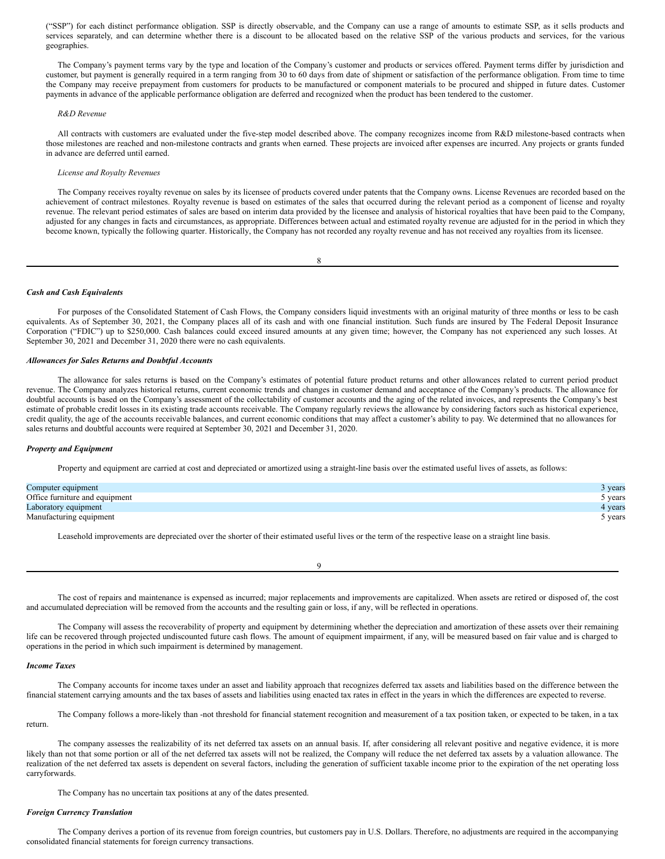("SSP") for each distinct performance obligation. SSP is directly observable, and the Company can use a range of amounts to estimate SSP, as it sells products and services separately, and can determine whether there is a discount to be allocated based on the relative SSP of the various products and services, for the various geographies.

The Company's payment terms vary by the type and location of the Company's customer and products or services offered. Payment terms differ by jurisdiction and customer, but payment is generally required in a term ranging from 30 to 60 days from date of shipment or satisfaction of the performance obligation. From time to time the Company may receive prepayment from customers for products to be manufactured or component materials to be procured and shipped in future dates. Customer payments in advance of the applicable performance obligation are deferred and recognized when the product has been tendered to the customer.

#### *R&D Revenue*

All contracts with customers are evaluated under the five-step model described above. The company recognizes income from R&D milestone-based contracts when those milestones are reached and non-milestone contracts and grants when earned. These projects are invoiced after expenses are incurred. Any projects or grants funded in advance are deferred until earned.

# *License and Royalty Revenues*

The Company receives royalty revenue on sales by its licensee of products covered under patents that the Company owns. License Revenues are recorded based on the achievement of contract milestones. Royalty revenue is based on estimates of the sales that occurred during the relevant period as a component of license and royalty revenue. The relevant period estimates of sales are based on interim data provided by the licensee and analysis of historical royalties that have been paid to the Company, adjusted for any changes in facts and circumstances, as appropriate. Differences between actual and estimated royalty revenue are adjusted for in the period in which they become known, typically the following quarter. Historically, the Company has not recorded any royalty revenue and has not received any royalties from its licensee.

8

# *Cash and Cash Equivalents*

For purposes of the Consolidated Statement of Cash Flows, the Company considers liquid investments with an original maturity of three months or less to be cash equivalents. As of September 30, 2021, the Company places all of its cash and with one financial institution. Such funds are insured by The Federal Deposit Insurance Corporation ("FDIC") up to \$250,000. Cash balances could exceed insured amounts at any given time; however, the Company has not experienced any such losses. At September 30, 2021 and December 31, 2020 there were no cash equivalents.

#### *Allowances for Sales Returns and Doubtful Accounts*

The allowance for sales returns is based on the Company's estimates of potential future product returns and other allowances related to current period product revenue. The Company analyzes historical returns, current economic trends and changes in customer demand and acceptance of the Company's products. The allowance for doubtful accounts is based on the Company's assessment of the collectability of customer accounts and the aging of the related invoices, and represents the Company's best estimate of probable credit losses in its existing trade accounts receivable. The Company regularly reviews the allowance by considering factors such as historical experience, credit quality, the age of the accounts receivable balances, and current economic conditions that may affect a customer's ability to pay. We determined that no allowances for sales returns and doubtful accounts were required at September 30, 2021 and December 31, 2020.

#### *Property and Equipment*

Property and equipment are carried at cost and depreciated or amortized using a straight-line basis over the estimated useful lives of assets, as follows:

| Computer equipment             | vears   |
|--------------------------------|---------|
| Office furniture and equipment | vears   |
| Laboratory equipment           | 4 years |
| Manufacturing equipment        | vears   |

Leasehold improvements are depreciated over the shorter of their estimated useful lives or the term of the respective lease on a straight line basis.

The cost of repairs and maintenance is expensed as incurred; major replacements and improvements are capitalized. When assets are retired or disposed of, the cost and accumulated depreciation will be removed from the accounts and the resulting gain or loss, if any, will be reflected in operations.

9

The Company will assess the recoverability of property and equipment by determining whether the depreciation and amortization of these assets over their remaining life can be recovered through projected undiscounted future cash flows. The amount of equipment impairment, if any, will be measured based on fair value and is charged to operations in the period in which such impairment is determined by management.

#### *Income Taxes*

The Company accounts for income taxes under an asset and liability approach that recognizes deferred tax assets and liabilities based on the difference between the financial statement carrying amounts and the tax bases of assets and liabilities using enacted tax rates in effect in the years in which the differences are expected to reverse.

The Company follows a more-likely than -not threshold for financial statement recognition and measurement of a tax position taken, or expected to be taken, in a tax return.

The company assesses the realizability of its net deferred tax assets on an annual basis. If, after considering all relevant positive and negative evidence, it is more likely than not that some portion or all of the net deferred tax assets will not be realized, the Company will reduce the net deferred tax assets by a valuation allowance. The realization of the net deferred tax assets is dependent on several factors, including the generation of sufficient taxable income prior to the expiration of the net operating loss carryforwards.

The Company has no uncertain tax positions at any of the dates presented.

#### *Foreign Currency Translation*

The Company derives a portion of its revenue from foreign countries, but customers pay in U.S. Dollars. Therefore, no adjustments are required in the accompanying consolidated financial statements for foreign currency transactions.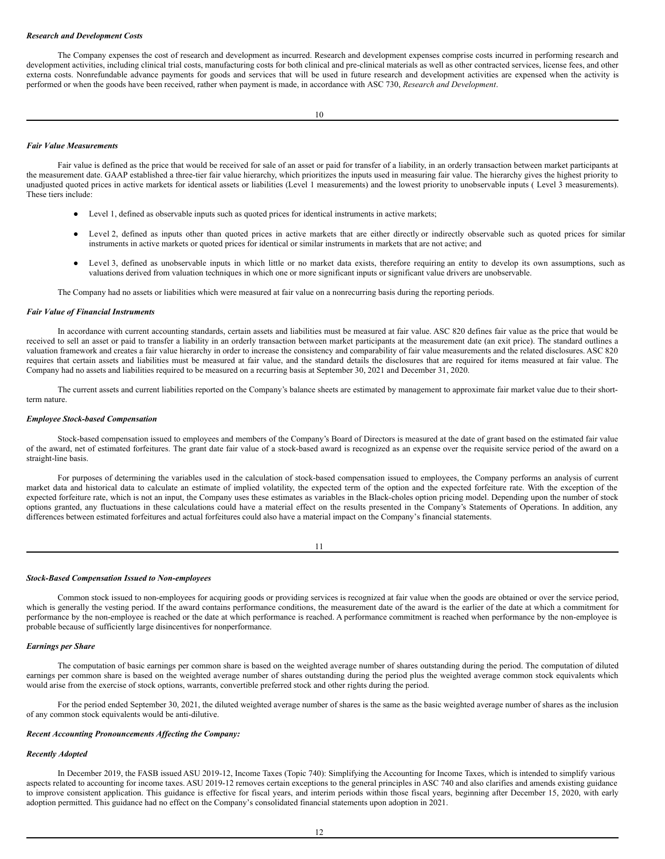#### *Research and Development Costs*

The Company expenses the cost of research and development as incurred. Research and development expenses comprise costs incurred in performing research and development activities, including clinical trial costs, manufacturing costs for both clinical and pre-clinical materials as well as other contracted services, license fees, and other externa costs. Nonrefundable advance payments for goods and services that will be used in future research and development activities are expensed when the activity is performed or when the goods have been received, rather when payment is made, in accordance with ASC 730, *Research and Development*.

#### *Fair Value Measurements*

Fair value is defined as the price that would be received for sale of an asset or paid for transfer of a liability, in an orderly transaction between market participants at the measurement date. GAAP established a three-tier fair value hierarchy, which prioritizes the inputs used in measuring fair value. The hierarchy gives the highest priority to unadjusted quoted prices in active markets for identical assets or liabilities (Level 1 measurements) and the lowest priority to unobservable inputs ( Level 3 measurements). These tiers include:

- Level 1, defined as observable inputs such as quoted prices for identical instruments in active markets;
- Level 2, defined as inputs other than quoted prices in active markets that are either directly or indirectly observable such as quoted prices for similar instruments in active markets or quoted prices for identical or similar instruments in markets that are not active; and
- Level 3, defined as unobservable inputs in which little or no market data exists, therefore requiring an entity to develop its own assumptions, such as valuations derived from valuation techniques in which one or more significant inputs or significant value drivers are unobservable.

The Company had no assets or liabilities which were measured at fair value on a nonrecurring basis during the reporting periods.

#### *Fair Value of Financial Instruments*

In accordance with current accounting standards, certain assets and liabilities must be measured at fair value. ASC 820 defines fair value as the price that would be received to sell an asset or paid to transfer a liability in an orderly transaction between market participants at the measurement date (an exit price). The standard outlines a valuation framework and creates a fair value hierarchy in order to increase the consistency and comparability of fair value measurements and the related disclosures. ASC 820 requires that certain assets and liabilities must be measured at fair value, and the standard details the disclosures that are required for items measured at fair value. The Company had no assets and liabilities required to be measured on a recurring basis at September 30, 2021 and December 31, 2020.

The current assets and current liabilities reported on the Company's balance sheets are estimated by management to approximate fair market value due to their shortterm nature.

#### *Employee Stock-based Compensation*

Stock-based compensation issued to employees and members of the Company's Board of Directors is measured at the date of grant based on the estimated fair value of the award, net of estimated forfeitures. The grant date fair value of a stock-based award is recognized as an expense over the requisite service period of the award on a straight-line basis.

For purposes of determining the variables used in the calculation of stock-based compensation issued to employees, the Company performs an analysis of current market data and historical data to calculate an estimate of implied volatility, the expected term of the option and the expected forfeiture rate. With the exception of the expected forfeiture rate, which is not an input, the Company uses these estimates as variables in the Black-choles option pricing model. Depending upon the number of stock options granted, any fluctuations in these calculations could have a material effect on the results presented in the Company's Statements of Operations. In addition, any differences between estimated forfeitures and actual forfeitures could also have a material impact on the Company's financial statements.

11

# *Stock-Based Compensation Issued to Non-employees*

Common stock issued to non-employees for acquiring goods or providing services is recognized at fair value when the goods are obtained or over the service period, which is generally the vesting period. If the award contains performance conditions, the measurement date of the award is the earlier of the date at which a commitment for performance by the non-employee is reached or the date at which performance is reached. A performance commitment is reached when performance by the non-employee is probable because of sufficiently large disincentives for nonperformance.

# *Earnings per Share*

The computation of basic earnings per common share is based on the weighted average number of shares outstanding during the period. The computation of diluted earnings per common share is based on the weighted average number of shares outstanding during the period plus the weighted average common stock equivalents which would arise from the exercise of stock options, warrants, convertible preferred stock and other rights during the period.

For the period ended September 30, 2021, the diluted weighted average number of shares is the same as the basic weighted average number of shares as the inclusion of any common stock equivalents would be anti-dilutive.

# *Recent Accounting Pronouncements Af ecting the Company:*

# *Recently Adopted*

In December 2019, the FASB issued ASU 2019-12, Income Taxes (Topic 740): Simplifying the Accounting for Income Taxes, which is intended to simplify various aspects related to accounting for income taxes. ASU 2019-12 removes certain exceptions to the general principles in ASC 740 and also clarifies and amends existing guidance to improve consistent application. This guidance is effective for fiscal years, and interim periods within those fiscal years, beginning after December 15, 2020, with early adoption permitted. This guidance had no effect on the Company's consolidated financial statements upon adoption in 2021.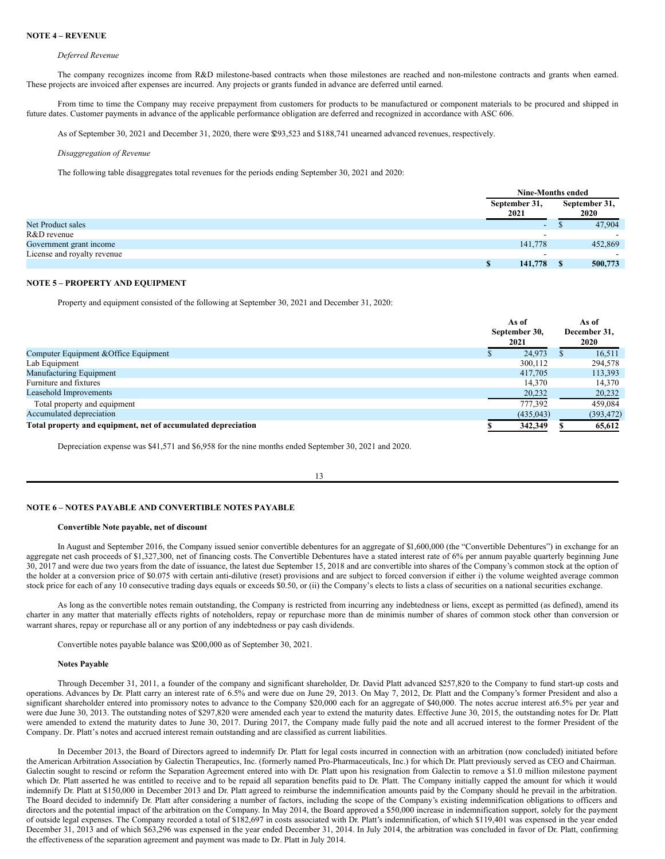# **NOTE 4 – REVENUE**

#### *Deferred Revenue*

The company recognizes income from R&D milestone-based contracts when those milestones are reached and non-milestone contracts and grants when earned. These projects are invoiced after expenses are incurred. Any projects or grants funded in advance are deferred until earned.

From time to time the Company may receive prepayment from customers for products to be manufactured or component materials to be procured and shipped in future dates. Customer payments in advance of the applicable performance obligation are deferred and recognized in accordance with ASC 606.

As of September 30, 2021 and December 31, 2020, there were \$293,523 and \$188,741 unearned advanced revenues, respectively.

#### *Disaggregation of Revenue*

The following table disaggregates total revenues for the periods ending September 30, 2021 and 2020:

|                             | <b>Nine-Months ended</b> |  |                       |  |
|-----------------------------|--------------------------|--|-----------------------|--|
|                             | September 31,<br>2021    |  | September 31,<br>2020 |  |
| Net Product sales           | $\sim$                   |  | 47,904                |  |
| R&D revenue                 |                          |  |                       |  |
| Government grant income     | 141,778                  |  | 452,869               |  |
| License and royalty revenue | -                        |  |                       |  |
|                             | 141,778                  |  | 500,773               |  |

# **NOTE 5 – PROPERTY AND EQUIPMENT**

Property and equipment consisted of the following at September 30, 2021 and December 31, 2020:

|                                                               | As of<br>September 30, |            | As of<br>December 31, |
|---------------------------------------------------------------|------------------------|------------|-----------------------|
|                                                               |                        | 2021       | 2020                  |
| Computer Equipment & Office Equipment                         |                        | 24,973     | 16,511                |
| Lab Equipment                                                 |                        | 300,112    | 294,578               |
| Manufacturing Equipment                                       |                        | 417.705    | 113.393               |
| Furniture and fixtures                                        |                        | 14.370     | 14,370                |
| Leasehold Improvements                                        |                        | 20,232     | 20,232                |
| Total property and equipment                                  |                        | 777.392    | 459.084               |
| Accumulated depreciation                                      |                        | (435, 043) | (393, 472)            |
| Total property and equipment, net of accumulated depreciation |                        | 342,349    | 65,612                |

Depreciation expense was \$41,571 and \$6,958 for the nine months ended September 30, 2021 and 2020.

#### 13

# **NOTE 6 – NOTES PAYABLE AND CONVERTIBLE NOTES PAYABLE**

#### **Convertible Note payable, net of discount**

In August and September 2016, the Company issued senior convertible debentures for an aggregate of \$1,600,000 (the "Convertible Debentures") in exchange for an aggregate net cash proceeds of \$1,327,300, net of financing costs. The Convertible Debentures have a stated interest rate of 6% per annum payable quarterly beginning June 30, 2017 and were due two years from the date of issuance, the latest due September 15, 2018 and are convertible into shares of the Company's common stock at the option of the holder at a conversion price of \$0.075 with certain anti-dilutive (reset) provisions and are subject to forced conversion if either i) the volume weighted average common stock price for each of any 10 consecutive trading days equals or exceeds \$0.50, or (ii) the Company's elects to lists a class of securities on a national securities exchange.

As long as the convertible notes remain outstanding, the Company is restricted from incurring any indebtedness or liens, except as permitted (as defined), amend its charter in any matter that materially effects rights of noteholders, repay or repurchase more than de minimis number of shares of common stock other than conversion or warrant shares, repay or repurchase all or any portion of any indebtedness or pay cash dividends.

Convertible notes payable balance was \$200,000 as of September 30, 2021.

### **Notes Payable**

Through December 31, 2011, a founder of the company and significant shareholder, Dr. David Platt advanced \$257,820 to the Company to fund start-up costs and operations. Advances by Dr. Platt carry an interest rate of 6.5% and were due on June 29, 2013. On May 7, 2012, Dr. Platt and the Company's former President and also a significant shareholder entered into promissory notes to advance to the Company \$20,000 each for an aggregate of \$40,000. The notes accrue interest at6.5% per year and were due June 30, 2013. The outstanding notes of \$297,820 were amended each year to extend the maturity dates. Effective June 30, 2015, the outstanding notes for Dr. Platt were amended to extend the maturity dates to June 30, 2017. During 2017, the Company made fully paid the note and all accrued interest to the former President of the Company. Dr. Platt's notes and accrued interest remain outstanding and are classified as current liabilities.

In December 2013, the Board of Directors agreed to indemnify Dr. Platt for legal costs incurred in connection with an arbitration (now concluded) initiated before the American Arbitration Association by Galectin Therapeutics, Inc. (formerly named Pro-Pharmaceuticals, Inc.) for which Dr. Platt previously served as CEO and Chairman. Galectin sought to rescind or reform the Separation Agreement entered into with Dr. Platt upon his resignation from Galectin to remove a \$1.0 million milestone payment which Dr. Platt asserted he was entitled to receive and to be repaid all separation benefits paid to Dr. Platt. The Company initially capped the amount for which it would indemnify Dr. Platt at \$150,000 in December 2013 and Dr. Platt agreed to reimburse the indemnification amounts paid by the Company should he prevail in the arbitration. The Board decided to indemnify Dr. Platt after considering a number of factors, including the scope of the Company's existing indemnification obligations to officers and directors and the potential impact of the arbitration on the Company. In May 2014, the Board approved a \$50,000 increase in indemnification support, solely for the payment of outside legal expenses. The Company recorded a total of \$182,697 in costs associated with Dr. Platt's indemnification, of which \$119,401 was expensed in the year ended December 31, 2013 and of which \$63,296 was expensed in the year ended December 31, 2014. In July 2014, the arbitration was concluded in favor of Dr. Platt, confirming the effectiveness of the separation agreement and payment was made to Dr. Platt in July 2014.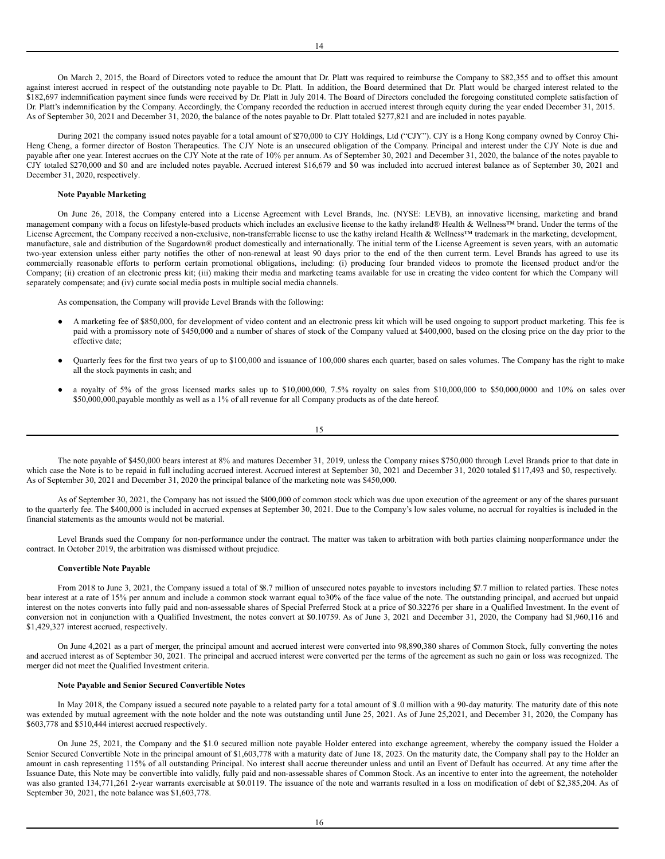On March 2, 2015, the Board of Directors voted to reduce the amount that Dr. Platt was required to reimburse the Company to \$82,355 and to offset this amount against interest accrued in respect of the outstanding note payable to Dr. Platt. In addition, the Board determined that Dr. Platt would be charged interest related to the \$182,697 indemnification payment since funds were received by Dr. Platt in July 2014. The Board of Directors concluded the foregoing constituted complete satisfaction of Dr. Platt's indemnification by the Company. Accordingly, the Company recorded the reduction in accrued interest through equity during the year ended December 31, 2015. As of September 30, 2021 and December 31, 2020, the balance of the notes payable to Dr. Platt totaled \$277,821 and are included in notes payable.

During 2021 the company issued notes payable for a total amount of \$270,000 to CJY Holdings, Ltd ("CJY"). CJY is a Hong Kong company owned by Conroy Chi-Heng Cheng, a former director of Boston Therapeutics. The CJY Note is an unsecured obligation of the Company. Principal and interest under the CJY Note is due and payable after one year. Interest accrues on the CJY Note at the rate of 10% per annum. As of September 30, 2021 and December 31, 2020, the balance of the notes payable to CJY totaled \$270,000 and \$0 and are included notes payable. Accrued interest \$16,679 and \$0 was included into accrued interest balance as of September 30, 2021 and December 31, 2020, respectively.

# **Note Payable Marketing**

On June 26, 2018, the Company entered into a License Agreement with Level Brands, Inc. (NYSE: LEVB), an innovative licensing, marketing and brand management company with a focus on lifestyle-based products which includes an exclusive license to the kathy ireland® Health & Wellness™ brand. Under the terms of the License Agreement, the Company received a non-exclusive, non-transferrable license to use the kathy ireland Health & Wellness™ trademark in the marketing, development, manufacture, sale and distribution of the Sugardown® product domestically and internationally. The initial term of the License Agreement is seven years, with an automatic two-year extension unless either party notifies the other of non-renewal at least 90 days prior to the end of the then current term. Level Brands has agreed to use its commercially reasonable efforts to perform certain promotional obligations, including: (i) producing four branded videos to promote the licensed product and/or the Company; (ii) creation of an electronic press kit; (iii) making their media and marketing teams available for use in creating the video content for which the Company will separately compensate; and (iv) curate social media posts in multiple social media channels.

As compensation, the Company will provide Level Brands with the following:

- A marketing fee of \$850,000, for development of video content and an electronic press kit which will be used ongoing to support product marketing. This fee is paid with a promissory note of \$450,000 and a number of shares of stock of the Company valued at \$400,000, based on the closing price on the day prior to the effective date;
- Quarterly fees for the first two years of up to \$100,000 and issuance of 100,000 shares each quarter, based on sales volumes. The Company has the right to make all the stock payments in cash; and
- a royalty of 5% of the gross licensed marks sales up to \$10,000,000, 7.5% royalty on sales from \$10,000,000 to \$50,000,0000 and 10% on sales over \$50,000,000,payable monthly as well as a 1% of all revenue for all Company products as of the date hereof.

15

The note payable of \$450,000 bears interest at 8% and matures December 31, 2019, unless the Company raises \$750,000 through Level Brands prior to that date in which case the Note is to be repaid in full including accrued interest. Accrued interest at September 30, 2021 and December 31, 2020 totaled \$117,493 and \$0, respectively. As of September 30, 2021 and December 31, 2020 the principal balance of the marketing note was \$450,000.

As of September 30, 2021, the Company has not issued the \$400,000 of common stock which was due upon execution of the agreement or any of the shares pursuant to the quarterly fee. The \$400,000 is included in accrued expenses at September 30, 2021. Due to the Company's low sales volume, no accrual for royalties is included in the financial statements as the amounts would not be material.

Level Brands sued the Company for non-performance under the contract. The matter was taken to arbitration with both parties claiming nonperformance under the contract. In October 2019, the arbitration was dismissed without prejudice.

### **Convertible Note Payable**

From 2018 to June 3, 2021, the Company issued a total of \$8.7 million of unsecured notes payable to investors including \$7.7 million to related parties. These notes bear interest at a rate of 15% per annum and include a common stock warrant equal to30% of the face value of the note. The outstanding principal, and accrued but unpaid interest on the notes converts into fully paid and non-assessable shares of Special Preferred Stock at a price of \$0.32276 per share in a Qualified Investment. In the event of conversion not in conjunction with a Qualified Investment, the notes convert at \$0.10759. As of June 3, 2021 and December 31, 2020, the Company had \$1,960,116 and \$1,429,327 interest accrued, respectively.

On June 4,2021 as a part of merger, the principal amount and accrued interest were converted into 98,890,380 shares of Common Stock, fully converting the notes and accrued interest as of September 30, 2021. The principal and accrued interest were converted per the terms of the agreement as such no gain or loss was recognized. The merger did not meet the Qualified Investment criteria.

### **Note Payable and Senior Secured Convertible Notes**

In May 2018, the Company issued a secured note payable to a related party for a total amount of \$1.0 million with a 90-day maturity. The maturity date of this note was extended by mutual agreement with the note holder and the note was outstanding until June 25, 2021. As of June 25, 2021, and December 31, 2020, the Company has \$603,778 and \$510,444 interest accrued respectively.

On June 25, 2021, the Company and the \$1.0 secured million note payable Holder entered into exchange agreement, whereby the company issued the Holder a Senior Secured Convertible Note in the principal amount of \$1,603,778 with a maturity date of June 18, 2023. On the maturity date, the Company shall pay to the Holder an amount in cash representing 115% of all outstanding Principal. No interest shall accrue thereunder unless and until an Event of Default has occurred. At any time after the Issuance Date, this Note may be convertible into validly, fully paid and non-assessable shares of Common Stock. As an incentive to enter into the agreement, the noteholder was also granted 134,771,261 2-year warrants exercisable at \$0.0119. The issuance of the note and warrants resulted in a loss on modification of debt of \$2,385,204. As of September 30, 2021, the note balance was \$1,603,778.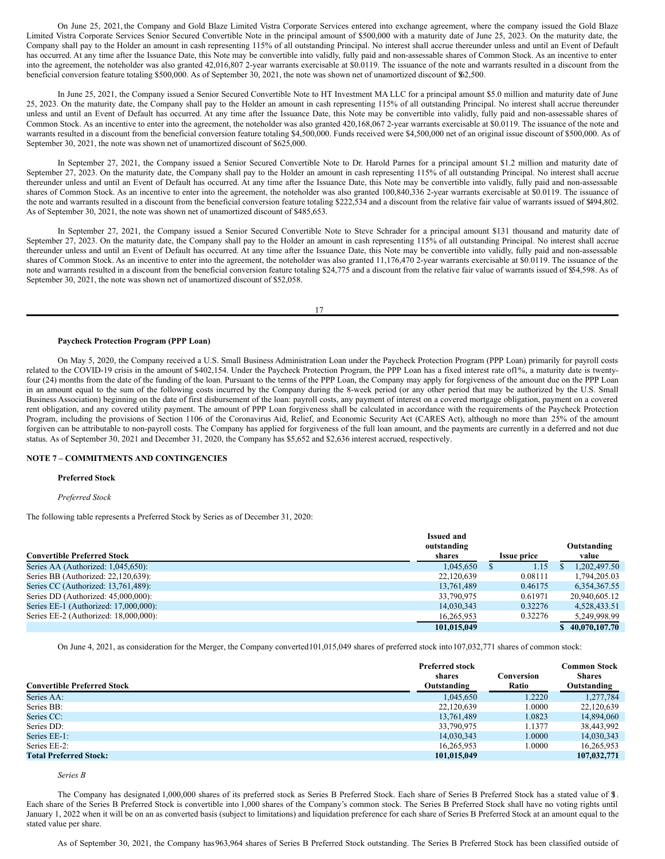On June 25, 2021, the Company and Gold Blaze Limited Vistra Corporate Services entered into exchange agreement, where the company issued the Gold Blaze Limited Vistra Corporate Services Senior Secured Convertible Note in the principal amount of \$500,000 with a maturity date of June 25, 2023. On the maturity date, the Company shall pay to the Holder an amount in cash representing 115% of all outstanding Principal. No interest shall accrue thereunder unless and until an Event of Default has occurred. At any time after the Issuance Date, this Note may be convertible into validly, fully paid and non-assessable shares of Common Stock. As an incentive to enter into the agreement, the noteholder was also granted 42,016,807 2-year warrants exercisable at \$0.0119. The issuance of the note and warrants resulted in a discount from the beneficial conversion feature totaling \$500,000. As of September 30, 2021, the note was shown net of unamortized discount of \$62,500.

In June 25, 2021, the Company issued a Senior Secured Convertible Note to HT Investment MA LLC for a principal amount \$5.0 million and maturity date of June 25, 2023. On the maturity date, the Company shall pay to the Holder an amount in cash representing 115% of all outstanding Principal. No interest shall accrue thereunder unless and until an Event of Default has occurred. At any time after the Issuance Date, this Note may be convertible into validly, fully paid and non-assessable shares of Common Stock. As an incentive to enter into the agreement, the noteholder was also granted 420,168,067 2-year warrants exercisable at \$0.0119. The issuance of the note and warrants resulted in a discount from the beneficial conversion feature totaling \$4,500,000. Funds received were \$4,500,000 net of an original issue discount of \$500,000. As of September 30, 2021, the note was shown net of unamortized discount of \$625,000.

In September 27, 2021, the Company issued a Senior Secured Convertible Note to Dr. Harold Parnes for a principal amount \$1.2 million and maturity date of September 27, 2023. On the maturity date, the Company shall pay to the Holder an amount in cash representing 115% of all outstanding Principal. No interest shall accrue thereunder unless and until an Event of Default has occurred. At any time after the Issuance Date, this Note may be convertible into validly, fully paid and non-assessable shares of Common Stock. As an incentive to enter into the agreement, the noteholder was also granted 100,840,336 2-year warrants exercisable at \$0.0119. The issuance of the note and warrants resulted in a discount from the beneficial conversion feature totaling \$222,534 and a discount from the relative fair value of warrants issued of \$494,802. As of September 30, 2021, the note was shown net of unamortized discount of \$485,653.

In September 27, 2021, the Company issued a Senior Secured Convertible Note to Steve Schrader for a principal amount \$131 thousand and maturity date of September 27, 2023. On the maturity date, the Company shall pay to the Holder an amount in cash representing 115% of all outstanding Principal. No interest shall accrue thereunder unless and until an Event of Default has occurred. At any time after the Issuance Date, this Note may be convertible into validly, fully paid and non-assessable shares of Common Stock. As an incentive to enter into the agreement, the noteholder was also granted 11,176,470 2-year warrants exercisable at \$0.0119. The issuance of the note and warrants resulted in a discount from the beneficial conversion feature totaling \$24,775 and a discount from the relative fair value of warrants issued of \$54,598. As of September 30, 2021, the note was shown net of unamortized discount of \$52,058.

17

### **Paycheck Protection Program (PPP Loan)**

On May 5, 2020, the Company received a U.S. Small Business Administration Loan under the Paycheck Protection Program (PPP Loan) primarily for payroll costs related to the COVID-19 crisis in the amount of \$402,154. Under the Paycheck Protection Program, the PPP Loan has a fixed interest rate of1%, a maturity date is twentyfour (24) months from the date of the funding of the loan. Pursuant to the terms of the PPP Loan, the Company may apply for forgiveness of the amount due on the PPP Loan in an amount equal to the sum of the following costs incurred by the Company during the 8-week period (or any other period that may be authorized by the U.S. Small Business Association) beginning on the date of first disbursement of the loan: payroll costs, any payment of interest on a covered mortgage obligation, payment on a covered rent obligation, and any covered utility payment. The amount of PPP Loan forgiveness shall be calculated in accordance with the requirements of the Paycheck Protection Program, including the provisions of Section 1106 of the Coronavirus Aid, Relief, and Economic Security Act (CARES Act), although no more than 25% of the amount forgiven can be attributable to non-payroll costs. The Company has applied for forgiveness of the full loan amount, and the payments are currently in a deferred and not due status. As of September 30, 2021 and December 31, 2020, the Company has \$5,652 and \$2,636 interest accrued, respectively.

# **NOTE 7 – COMMITMENTS AND CONTINGENCIES**

### **Preferred Stock**

#### *Preferred Stock*

The following table represents a Preferred Stock by Series as of December 31, 2020:

|                                        | <b>Issued and</b> |                    |                 |
|----------------------------------------|-------------------|--------------------|-----------------|
|                                        | outstanding       |                    | Outstanding     |
| <b>Convertible Preferred Stock</b>     | shares            | <b>Issue price</b> | value           |
| Series AA (Authorized: 1,045,650):     | 1,045,650         | 1.15               | 1.202.497.50    |
| Series BB (Authorized: 22,120,639):    | 22,120,639        | 0.08111            | 1.794.205.03    |
| Series CC (Authorized: $13,761,489$ ): | 13.761.489        | 0.46175            | 6.354.367.55    |
| Series DD (Authorized: 45,000,000):    | 33,790,975        | 0.61971            | 20.940.605.12   |
| Series EE-1 (Authorized: 17,000,000):  | 14.030.343        | 0.32276            | 4.528.433.51    |
| Series EE-2 (Authorized: 18,000,000):  | 16,265,953        | 0.32276            | 5,249,998.99    |
|                                        | 101,015,049       |                    | \$40,070,107.70 |

On June 4, 2021, as consideration for the Merger, the Company converted101,015,049 shares of preferred stock into107,032,771 shares of common stock:

| <b>Convertible Preferred Stock</b> | <b>Preferred stock</b><br>shares<br>Outstanding | Conversion<br>Ratio | Common Stock<br><b>Shares</b><br>Outstanding |
|------------------------------------|-------------------------------------------------|---------------------|----------------------------------------------|
| Series AA:                         | 1.045.650                                       | 1.2220              | 1,277,784                                    |
| Series BB:                         | 22,120,639                                      | .0000               | 22,120,639                                   |
| Series CC:                         | 13.761.489                                      | 1.0823              | 14,894,060                                   |
| Series DD:                         | 33,790,975                                      | 1.1377              | 38,443,992                                   |
| Series EE-1:                       | 14,030,343                                      | 0000.1              | 14,030,343                                   |
| Series EE-2:                       | 16.265.953                                      | 0000.               | 16,265,953                                   |
| <b>Total Preferred Stock:</b>      | 101,015,049                                     |                     | 107,032,771                                  |

#### *Series B*

The Company has designated 1,000,000 shares of its preferred stock as Series B Preferred Stock. Each share of Series B Preferred Stock has a stated value of \$1. Each share of the Series B Preferred Stock is convertible into 1,000 shares of the Company's common stock. The Series B Preferred Stock shall have no voting rights until January 1, 2022 when it will be on an as converted basis (subject to limitations) and liquidation preference for each share of Series B Preferred Stock at an amount equal to the stated value per share.

As of September 30, 2021, the Company has963,964 shares of Series B Preferred Stock outstanding. The Series B Preferred Stock has been classified outside of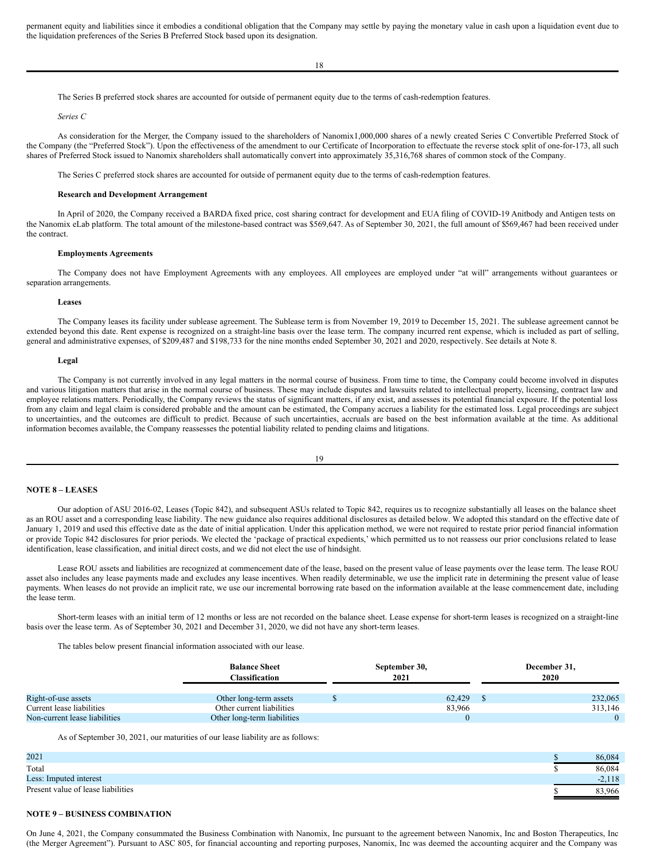permanent equity and liabilities since it embodies a conditional obligation that the Company may settle by paying the monetary value in cash upon a liquidation event due to the liquidation preferences of the Series B Preferred Stock based upon its designation.

18

The Series B preferred stock shares are accounted for outside of permanent equity due to the terms of cash-redemption features.

*Series C*

As consideration for the Merger, the Company issued to the shareholders of Nanomix1,000,000 shares of a newly created Series C Convertible Preferred Stock of the Company (the "Preferred Stock"). Upon the effectiveness of the amendment to our Certificate of Incorporation to effectuate the reverse stock split of one-for-173, all such shares of Preferred Stock issued to Nanomix shareholders shall automatically convert into approximately 35,316,768 shares of common stock of the Company.

The Series C preferred stock shares are accounted for outside of permanent equity due to the terms of cash-redemption features.

# **Research and Development Arrangement**

In April of 2020, the Company received a BARDA fixed price, cost sharing contract for development and EUA filing of COVID-19 Anitbody and Antigen tests on the Nanomix eLab platform. The total amount of the milestone-based contract was \$569,647. As of September 30, 2021, the full amount of \$569,467 had been received under the contract.

#### **Employments Agreements**

The Company does not have Employment Agreements with any employees. All employees are employed under "at will" arrangements without guarantees or separation arrangements.

#### **Leases**

The Company leases its facility under sublease agreement. The Sublease term is from November 19, 2019 to December 15, 2021. The sublease agreement cannot be extended beyond this date. Rent expense is recognized on a straight-line basis over the lease term. The company incurred rent expense, which is included as part of selling, general and administrative expenses, of \$209,487 and \$198,733 for the nine months ended September 30, 2021 and 2020, respectively. See details at Note 8.

#### **Legal**

The Company is not currently involved in any legal matters in the normal course of business. From time to time, the Company could become involved in disputes and various litigation matters that arise in the normal course of business. These may include disputes and lawsuits related to intellectual property, licensing, contract law and employee relations matters. Periodically, the Company reviews the status of significant matters, if any exist, and assesses its potential financial exposure. If the potential loss from any claim and legal claim is considered probable and the amount can be estimated, the Company accrues a liability for the estimated loss. Legal proceedings are subject to uncertainties, and the outcomes are difficult to predict. Because of such uncertainties, accruals are based on the best information available at the time. As additional information becomes available, the Company reassesses the potential liability related to pending claims and litigations.

#### 19

### **NOTE 8 – LEASES**

Our adoption of ASU 2016-02, Leases (Topic 842), and subsequent ASUs related to Topic 842, requires us to recognize substantially all leases on the balance sheet as an ROU asset and a corresponding lease liability. The new guidance also requires additional disclosures as detailed below. We adopted this standard on the effective date of January 1, 2019 and used this effective date as the date of initial application. Under this application method, we were not required to restate prior period financial information or provide Topic 842 disclosures for prior periods. We elected the 'package of practical expedients,' which permitted us to not reassess our prior conclusions related to lease identification, lease classification, and initial direct costs, and we did not elect the use of hindsight.

Lease ROU assets and liabilities are recognized at commencement date of the lease, based on the present value of lease payments over the lease term. The lease ROU asset also includes any lease payments made and excludes any lease incentives. When readily determinable, we use the implicit rate in determining the present value of lease payments. When leases do not provide an implicit rate, we use our incremental borrowing rate based on the information available at the lease commencement date, including the lease term.

Short-term leases with an initial term of 12 months or less are not recorded on the balance sheet. Lease expense for short-term leases is recognized on a straight-line basis over the lease term. As of September 30, 2021 and December 31, 2020, we did not have any short-term leases.

The tables below present financial information associated with our lease.

|                               | <b>Balance Sheet</b><br>Classification | September 30,<br>2021 | December 31,<br>2020 |
|-------------------------------|----------------------------------------|-----------------------|----------------------|
| Right-of-use assets           | Other long-term assets                 | 62.429                | 232,065              |
| Current lease liabilities     | Other current liabilities              | 83,966                | 313,146              |
| Non-current lease liabilities | Other long-term liabilities            |                       |                      |

As of September 30, 2021, our maturities of our lease liability are as follows:

| 2021                               | 86,084   |
|------------------------------------|----------|
| Total                              | 86,084   |
| Less: Imputed interest             | $-2.118$ |
| Present value of lease liabilities | 83.966   |

### **NOTE 9 – BUSINESS COMBINATION**

On June 4, 2021, the Company consummated the Business Combination with Nanomix, Inc pursuant to the agreement between Nanomix, Inc and Boston Therapeutics, Inc (the Merger Agreement"). Pursuant to ASC 805, for financial accounting and reporting purposes, Nanomix, Inc was deemed the accounting acquirer and the Company was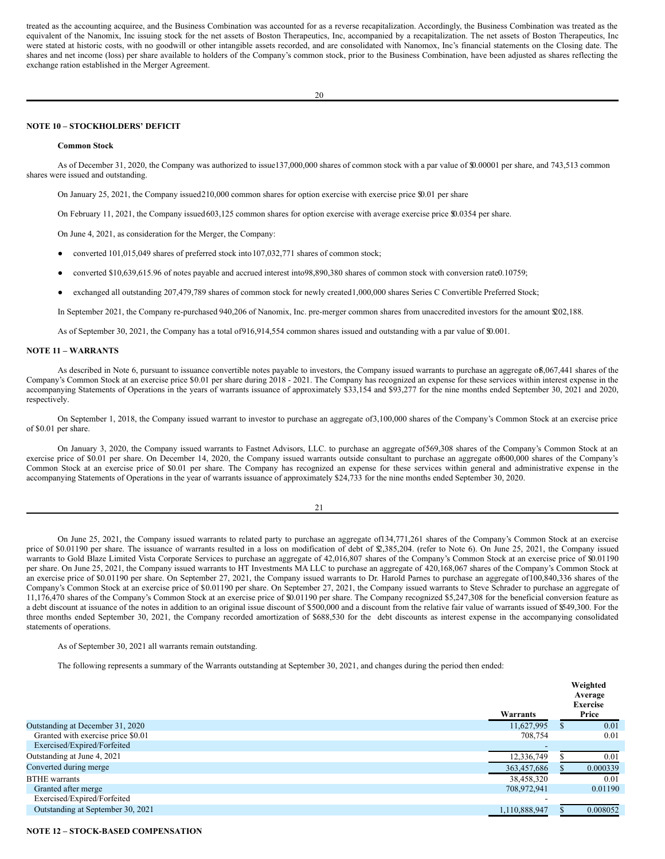treated as the accounting acquiree, and the Business Combination was accounted for as a reverse recapitalization. Accordingly, the Business Combination was treated as the equivalent of the Nanomix, Inc issuing stock for the net assets of Boston Therapeutics, Inc, accompanied by a recapitalization. The net assets of Boston Therapeutics, Inc were stated at historic costs, with no goodwill or other intangible assets recorded, and are consolidated with Nanomox, Inc's financial statements on the Closing date. The shares and net income (loss) per share available to holders of the Company's common stock, prior to the Business Combination, have been adjusted as shares reflecting the exchange ration established in the Merger Agreement.

20

### **NOTE 10 – STOCKHOLDERS' DEFICIT**

#### **Common Stock**

As of December 31, 2020, the Company was authorized to issue137,000,000 shares of common stock with a par value of \$0.00001 per share, and 743,513 common shares were issued and outstanding.

On January 25, 2021, the Company issued210,000 common shares for option exercise with exercise price \$0.01 per share

On February 11, 2021, the Company issued603,125 common shares for option exercise with average exercise price \$0.0354 per share.

On June 4, 2021, as consideration for the Merger, the Company:

- converted 101,015,049 shares of preferred stock into 107,032,771 shares of common stock;
- converted \$10,639,615.96 of notes payable and accrued interest into98,890,380 shares of common stock with conversion rate0.10759;
- exchanged all outstanding 207,479,789 shares of common stock for newly created1,000,000 shares Series C Convertible Preferred Stock;

In September 2021, the Company re-purchased 940,206 of Nanomix, Inc. pre-merger common shares from unaccredited investors for the amount \$202,188.

As of September 30, 2021, the Company has a total of916,914,554 common shares issued and outstanding with a par value of \$0.001.

#### **NOTE 11 – WARRANTS**

As described in Note 6, pursuant to issuance convertible notes payable to investors, the Company issued warrants to purchase an aggregate of 0.067,441 shares of the Company's Common Stock at an exercise price \$0.01 per share during 2018 - 2021. The Company has recognized an expense for these services within interest expense in the accompanying Statements of Operations in the years of warrants issuance of approximately \$33,154 and \$93,277 for the nine months ended September 30, 2021 and 2020, respectively.

On September 1, 2018, the Company issued warrant to investor to purchase an aggregate of3,100,000 shares of the Company's Common Stock at an exercise price of \$0.01 per share.

On January 3, 2020, the Company issued warrants to Fastnet Advisors, LLC. to purchase an aggregate of569,308 shares of the Company's Common Stock at an exercise price of \$0.01 per share. On December 14, 2020, the Company issued warrants outside consultant to purchase an aggregate of600,000 shares of the Company's Common Stock at an exercise price of \$0.01 per share. The Company has recognized an expense for these services within general and administrative expense in the accompanying Statements of Operations in the year of warrants issuance of approximately \$24,733 for the nine months ended September 30, 2020.

21

On June 25, 2021, the Company issued warrants to related party to purchase an aggregate of134,771,261 shares of the Company's Common Stock at an exercise price of \$0.01190 per share. The issuance of warrants resulted in a loss on modification of debt of \$2,385,204. (refer to Note 6). On June 25, 2021, the Company issued warrants to Gold Blaze Limited Vista Corporate Services to purchase an aggregate of 42,016,807 shares of the Company's Common Stock at an exercise price of \$0.01190 per share. On June 25, 2021, the Company issued warrants to HT Investments MA LLC to purchase an aggregate of 420,168,067 shares of the Company's Common Stock at an exercise price of \$0.01190 per share. On September 27, 2021, the Company issued warrants to Dr. Harold Parnes to purchase an aggregate of100,840,336 shares of the Company's Common Stock at an exercise price of \$0.01190 per share. On September 27, 2021, the Company issued warrants to Steve Schrader to purchase an aggregate of 11,176,470 shares of the Company's Common Stock at an exercise price of \$0.01190 per share. The Company recognized \$5,247,308 for the beneficial conversion feature as a debt discount at issuance of the notes in addition to an original issue discount of \$500,000 and a discount from the relative fair value of warrants issued of \$549,300. For the three months ended September 30, 2021, the Company recorded amortization of \$688,530 for the debt discounts as interest expense in the accompanying consolidated statements of operations.

As of September 30, 2021 all warrants remain outstanding.

The following represents a summary of the Warrants outstanding at September 30, 2021, and changes during the period then ended:

|                                    | Warrants      | Weighted<br>Average<br><b>Exercise</b><br>Price |
|------------------------------------|---------------|-------------------------------------------------|
| Outstanding at December 31, 2020   | 11,627,995    | 0.01                                            |
| Granted with exercise price \$0.01 | 708.754       | 0.01                                            |
| Exercised/Expired/Forfeited        |               |                                                 |
| Outstanding at June 4, 2021        | 12,336,749    | 0.01                                            |
| Converted during merge             | 363,457,686   | 0.000339                                        |
| <b>BTHE</b> warrants               | 38,458,320    | 0.01                                            |
| Granted after merge                | 708,972,941   | 0.01190                                         |
| Exercised/Expired/Forfeited        |               |                                                 |
| Outstanding at September 30, 2021  | 1,110,888,947 | 0.008052                                        |

# **NOTE 12 – STOCK-BASED COMPENSATION**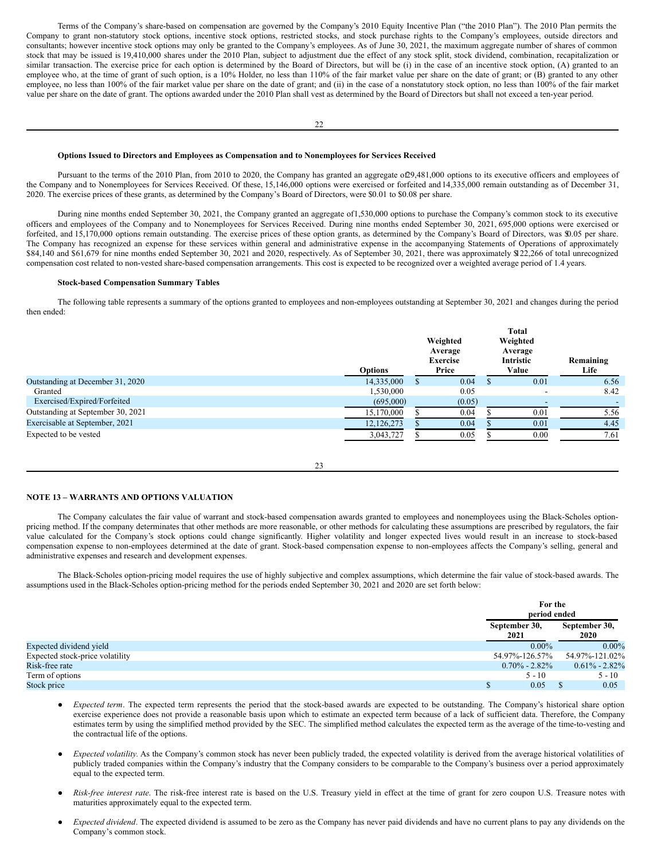Terms of the Company's share-based on compensation are governed by the Company's 2010 Equity Incentive Plan ("the 2010 Plan"). The 2010 Plan permits the Company to grant non-statutory stock options, incentive stock options, restricted stocks, and stock purchase rights to the Company's employees, outside directors and consultants; however incentive stock options may only be granted to the Company's employees. As of June 30, 2021, the maximum aggregate number of shares of common stock that may be issued is 19,410,000 shares under the 2010 Plan, subject to adjustment due the effect of any stock split, stock dividend, combination, recapitalization or similar transaction. The exercise price for each option is determined by the Board of Directors, but will be (i) in the case of an incentive stock option, (A) granted to an employee who, at the time of grant of such option, is a 10% Holder, no less than 110% of the fair market value per share on the date of grant; or (B) granted to any other employee, no less than 100% of the fair market value per share on the date of grant; and (ii) in the case of a nonstatutory stock option, no less than 100% of the fair market value per share on the date of grant. The options awarded under the 2010 Plan shall vest as determined by the Board of Directors but shall not exceed a ten-year period.

### **Options Issued to Directors and Employees as Compensation and to Nonemployees for Services Received**

Pursuant to the terms of the 2010 Plan, from 2010 to 2020, the Company has granted an aggregate of 29,481,000 options to its executive officers and employees of the Company and to Nonemployees for Services Received. Of these, 15,146,000 options were exercised or forfeited and 14,335,000 remain outstanding as of December 31, 2020. The exercise prices of these grants, as determined by the Company's Board of Directors, were \$0.01 to \$0.08 per share.

During nine months ended September 30, 2021, the Company granted an aggregate of1,530,000 options to purchase the Company's common stock to its executive officers and employees of the Company and to Nonemployees for Services Received. During nine months ended September 30, 2021, 695,000 options were exercised or forfeited, and 15,170,000 options remain outstanding. The exercise prices of these option grants, as determined by the Company's Board of Directors, was \$0.05 per share. The Company has recognized an expense for these services within general and administrative expense in the accompanying Statements of Operations of approximately \$84,140 and \$61,679 for nine months ended September 30, 2021 and 2020, respectively. As of September 30, 2021, there was approximately \$122,266 of total unrecognized compensation cost related to non-vested share-based compensation arrangements. This cost is expected to be recognized over a weighted average period of 1.4 years.

#### **Stock-based Compensation Summary Tables**

The following table represents a summary of the options granted to employees and non-employees outstanding at September 30, 2021 and changes during the period then ended:

|                                   | <b>Options</b> | Weighted<br>Average<br><b>Exercise</b><br>Price | <b>Total</b><br>Weighted<br>Average<br>Intristic<br>Value | Remaining<br>Life |
|-----------------------------------|----------------|-------------------------------------------------|-----------------------------------------------------------|-------------------|
| Outstanding at December 31, 2020  | 14,335,000     | 0.04                                            | 0.01                                                      | 6.56              |
| Granted                           | 1,530,000      | 0.05                                            |                                                           | 8.42              |
| Exercised/Expired/Forfeited       | (695,000)      | (0.05)                                          | $\overline{\phantom{a}}$                                  |                   |
| Outstanding at September 30, 2021 | 15,170,000     | 0.04                                            | 0.01                                                      | 5.56              |
| Exercisable at September, 2021    | 12, 126, 273   | 0.04                                            | 0.01                                                      | 4.45              |
| Expected to be vested             | 3,043,727      | 0.05                                            | 0.00                                                      | 7.61              |
|                                   |                |                                                 |                                                           |                   |

 $23$ 

#### **NOTE 13 – WARRANTS AND OPTIONS VALUATION**

The Company calculates the fair value of warrant and stock-based compensation awards granted to employees and nonemployees using the Black-Scholes optionpricing method. If the company determinates that other methods are more reasonable, or other methods for calculating these assumptions are prescribed by regulators, the fair value calculated for the Company's stock options could change significantly. Higher volatility and longer expected lives would result in an increase to stock-based compensation expense to non-employees determined at the date of grant. Stock-based compensation expense to non-employees affects the Company's selling, general and administrative expenses and research and development expenses.

The Black-Scholes option-pricing model requires the use of highly subjective and complex assumptions, which determine the fair value of stock-based awards. The assumptions used in the Black-Scholes option-pricing method for the periods ended September 30, 2021 and 2020 are set forth below:

|                                 |                       | For the<br>period ended |  |                       |  |
|---------------------------------|-----------------------|-------------------------|--|-----------------------|--|
|                                 | September 30,<br>2021 |                         |  | September 30,<br>2020 |  |
| Expected dividend yield         |                       | $0.00\%$                |  | $0.00\%$              |  |
| Expected stock-price volatility | 54.97%-126.57%        |                         |  | 54.97%-121.02%        |  |
| Risk-free rate                  |                       | $0.70\%$ - 2.82%        |  | $0.61\% - 2.82\%$     |  |
| Term of options                 |                       | $5 - 10$                |  | $5 - 10$              |  |
| Stock price                     |                       | 0.05                    |  | 0.05                  |  |

- *Expected term*. The expected term represents the period that the stock-based awards are expected to be outstanding. The Company's historical share option exercise experience does not provide a reasonable basis upon which to estimate an expected term because of a lack of sufficient data. Therefore, the Company estimates term by using the simplified method provided by the SEC. The simplified method calculates the expected term as the average of the time-to-vesting and the contractual life of the options.
- *Expected volatility*. As the Company's common stock has never been publicly traded, the expected volatility is derived from the average historical volatilities of publicly traded companies within the Company's industry that the Company considers to be comparable to the Company's business over a period approximately equal to the expected term.
- Risk-free interest rate. The risk-free interest rate is based on the U.S. Treasury yield in effect at the time of grant for zero coupon U.S. Treasure notes with maturities approximately equal to the expected term.
- *Expected dividend*. The expected dividend is assumed to be zero as the Company has never paid dividends and have no current plans to pay any dividends on the Company's common stock.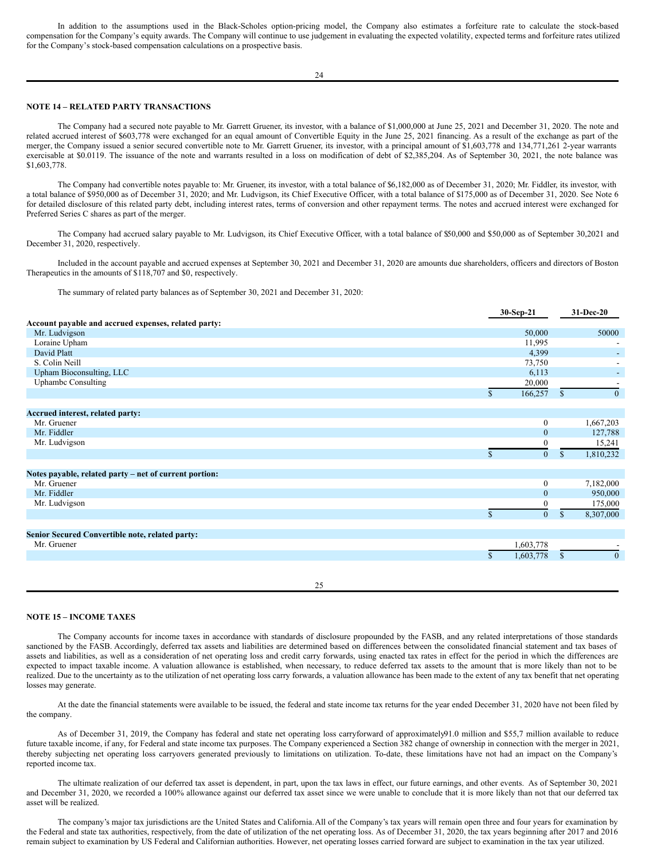In addition to the assumptions used in the Black-Scholes option-pricing model, the Company also estimates a forfeiture rate to calculate the stock-based compensation for the Company's equity awards. The Company will continue to use judgement in evaluating the expected volatility, expected terms and forfeiture rates utilized for the Company's stock-based compensation calculations on a prospective basis.

# **NOTE 14 – RELATED PARTY TRANSACTIONS**

The Company had a secured note payable to Mr. Garrett Gruener, its investor, with a balance of \$1,000,000 at June 25, 2021 and December 31, 2020. The note and related accrued interest of \$603,778 were exchanged for an equal amount of Convertible Equity in the June 25, 2021 financing. As a result of the exchange as part of the merger, the Company issued a senior secured convertible note to Mr. Garrett Gruener, its investor, with a principal amount of \$1,603,778 and 134,771,261 2-year warrants exercisable at \$0.0119. The issuance of the note and warrants resulted in a loss on modification of debt of \$2,385,204. As of September 30, 2021, the note balance was \$1,603,778.

The Company had convertible notes payable to: Mr. Gruener, its investor, with a total balance of \$6,182,000 as of December 31, 2020; Mr. Fiddler, its investor, with a total balance of \$950,000 as of December 31, 2020; and Mr. Ludvigson, its Chief Executive Officer, with a total balance of \$175,000 as of December 31, 2020. See Note 6 for detailed disclosure of this related party debt, including interest rates, terms of conversion and other repayment terms. The notes and accrued interest were exchanged for Preferred Series C shares as part of the merger.

The Company had accrued salary payable to Mr. Ludvigson, its Chief Executive Officer, with a total balance of \$50,000 and \$50,000 as of September 30,2021 and December 31, 2020, respectively.

Included in the account payable and accrued expenses at September 30, 2021 and December 31, 2020 are amounts due shareholders, officers and directors of Boston Therapeutics in the amounts of \$118,707 and \$0, respectively.

The summary of related party balances as of September 30, 2021 and December 31, 2020:

|                                                        | 30-Sep-21                 | 31-Dec-20                      |
|--------------------------------------------------------|---------------------------|--------------------------------|
| Account payable and accrued expenses, related party:   |                           |                                |
| Mr. Ludvigson                                          | 50,000                    | 50000                          |
| Loraine Upham                                          | 11,995                    |                                |
| David Platt                                            | 4,399                     |                                |
| S. Colin Neill                                         | 73,750                    |                                |
| Upham Bioconsulting, LLC                               | 6,113                     |                                |
| <b>Uphambc Consulting</b>                              | 20,000                    |                                |
|                                                        | 166,257<br>$\mathbb{S}$   | $\mathbf S$<br>$\overline{0}$  |
|                                                        |                           |                                |
| Accrued interest, related party:                       |                           |                                |
| Mr. Gruener                                            | $\bf{0}$                  | 1,667,203                      |
| Mr. Fiddler                                            | $\mathbf{0}$              | 127,788                        |
| Mr. Ludvigson                                          | $\boldsymbol{0}$          | 15,241                         |
|                                                        | S<br>$\mathbf{0}$         | 1,810,232<br>$\mathbb{S}$      |
| Notes payable, related party – net of current portion: |                           |                                |
| Mr. Gruener                                            | $\mathbf{0}$              | 7,182,000                      |
| Mr. Fiddler                                            | $\mathbf{0}$              | 950,000                        |
| Mr. Ludvigson                                          | $\bf{0}$                  | 175,000                        |
|                                                        | $\mathbf{0}$<br>\$.       | 8,307,000<br>$\mathbb{S}$      |
|                                                        |                           |                                |
| Senior Secured Convertible note, related party:        |                           |                                |
| Mr. Gruener                                            | 1,603,778                 |                                |
|                                                        | 1,603,778<br>$\mathbb{S}$ | $\mathbb{S}$<br>$\overline{0}$ |
|                                                        |                           |                                |
| 25                                                     |                           |                                |

#### **NOTE 15 – INCOME TAXES**

The Company accounts for income taxes in accordance with standards of disclosure propounded by the FASB, and any related interpretations of those standards sanctioned by the FASB. Accordingly, deferred tax assets and liabilities are determined based on differences between the consolidated financial statement and tax bases of assets and liabilities, as well as a consideration of net operating loss and credit carry forwards, using enacted tax rates in effect for the period in which the differences are expected to impact taxable income. A valuation allowance is established, when necessary, to reduce deferred tax assets to the amount that is more likely than not to be realized. Due to the uncertainty as to the utilization of net operating loss carry forwards, a valuation allowance has been made to the extent of any tax benefit that net operating losses may generate.

At the date the financial statements were available to be issued, the federal and state income tax returns for the year ended December 31, 2020 have not been filed by the company.

As of December 31, 2019, the Company has federal and state net operating loss carryforward of approximately91.0 million and \$55,7 million available to reduce future taxable income, if any, for Federal and state income tax purposes. The Company experienced a Section 382 change of ownership in connection with the merger in 2021, thereby subjecting net operating loss carryovers generated previously to limitations on utilization. To-date, these limitations have not had an impact on the Company's reported income tax.

The ultimate realization of our deferred tax asset is dependent, in part, upon the tax laws in effect, our future earnings, and other events. As of September 30, 2021 and December 31, 2020, we recorded a 100% allowance against our deferred tax asset since we were unable to conclude that it is more likely than not that our deferred tax asset will be realized.

The company's major tax jurisdictions are the United States and California.All of the Company's tax years will remain open three and four years for examination by the Federal and state tax authorities, respectively, from the date of utilization of the net operating loss. As of December 31, 2020, the tax years beginning after 2017 and 2016 remain subject to examination by US Federal and Californian authorities. However, net operating losses carried forward are subject to examination in the tax year utilized.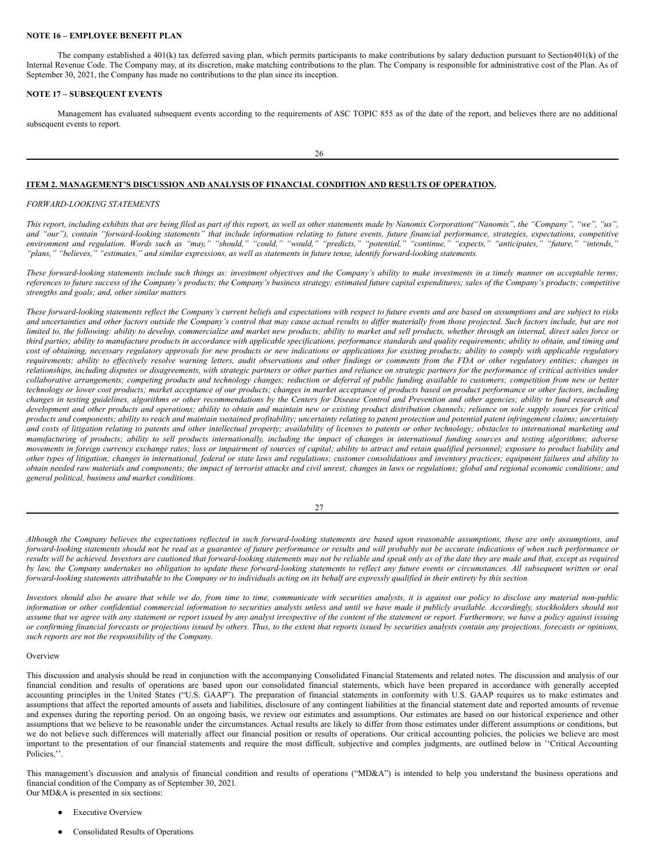# **NOTE 16 – EMPLOYEE BENEFIT PLAN**

The company established a 401(k) tax deferred saving plan, which permits participants to make contributions by salary deduction pursuant to Section401(k) of the Internal Revenue Code. The Company may, at its discretion, make matching contributions to the plan. The Company is responsible for administrative cost of the Plan. As of September 30, 2021, the Company has made no contributions to the plan since its inception.

# **NOTE 17 – SUBSEQUENT EVENTS**

Management has evaluated subsequent events according to the requirements of ASC TOPIC 855 as of the date of the report, and believes there are no additional subsequent events to report.

### **ITEM 2. MANAGEMENT'S DISCUSSION AND ANALYSIS OF FINANCIAL CONDITION AND RESULTS OF OPERATION.**

#### *FORWARD-LOOKING STATEMENTS*

This report, including exhibits that are being filed as part of this report, as well as other statements made by Nanomix Corporation("Nanomix", the "Company", "we", "us", and "our"), contain "forward-looking statements" that include information relating to future events, future financial performance, strategies, expectations, competitive environment and regulation. Words such as "may," "should," "could," "would," "predicts," "potential," "continue," "expects," "anticipates," "future," "intends," "plans," "believes," "estimates," and similar expressions, as well as statements in future tense, identify forward-looking statements.

These forward-looking statements include such things as: investment objectives and the Company's ability to make investments in a timely manner on acceptable terms; references to future success of the Company's products; the Company's business strategy; estimated future capital expenditures; sales of the Company's products; competitive *strengths and goals; and, other similar matters.*

These forward-looking statements reflect the Company's current beliefs and expectations with respect to future events and are based on assumptions and are subject to risks and uncertainties and other factors outside the Company's control that may cause actual results to differ materially from those projected. Such factors include, but are not limited to, the following: ability to develop, commercialize and market new products; ability to market and sell products, whether through an internal, direct sales force or third parties; ability to manufacture products in accordance with applicable specifications, performance standards and quality requirements; ability to obtain, and timing and cost of obtaining, necessary regulatory approvals for new products or new indications or applications for existing products; ability to comply with applicable regulatory requirements; ability to effectively resolve warning letters, audit observations and other findings or comments from the FDA or other regulatory entities; changes in relationships, including disputes or disagreements, with strategic partners or other parties and reliance on strategic partners for the performance of critical activities under collaborative arrangements; competing products and technology changes; reduction or deferral of public funding available to customers; competition from new or better technology or lower cost products; market acceptance of our products; changes in market acceptance of products based on product performance or other factors, including changes in testing guidelines, algorithms or other recommendations by the Centers for Disease Control and Prevention and other agencies; ability to fund research and development and other products and operations; ability to obtain and maintain new or existing product distribution channels; reliance on sole supply sources for critical products and components; ability to reach and maintain sustained profitability; uncertainty relating to patent protection and potential patent infringement claims; uncertainty and costs of litigation relating to patents and other intellectual property; availability of licenses to patents or other technology; obstacles to international marketing and manufacturing of products; ability to sell products internationally, including the impact of changes in international funding sources and testing algorithms; adverse movements in foreign currency exchange rates; loss or impairment of sources of capital; ability to attract and retain qualified personnel; exposure to product liability and other types of litigation; changes in international, federal or state laws and regulations; customer consolidations and inventory practices; equipment failures and ability to obtain needed raw materials and components; the impact of terrorist attacks and civil unrest; changes in laws or regulations; global and regional economic conditions; and *general political, business and market conditions.*

27

Although the Company believes the expectations reflected in such forward-looking statements are based upon reasonable assumptions, these are only assumptions, and forward-looking statements should not be read as a guarantee of future performance or results and will probably not be accurate indications of when such performance or results will be achieved. Investors are cautioned that forward-looking statements may not be reliable and speak only as of the date they are made and that, except as required by law, the Company undertakes no obligation to update these forward-looking statements to reflect any future events or circumstances. All subsequent written or oral forward-looking statements attributable to the Company or to individuals acting on its behalf are expressly qualified in their entirety by this section.

Investors should also be aware that while we do, from time to time, communicate with securities analysts, it is against our policy to disclose any material non-public information or other confidential commercial information to securities analysts unless and until we have made it publicly available. Accordingly, stockholders should not assume that we agree with any statement or report issued by any analyst irrespective of the content of the statement or report. Furthermore, we have a policy against issuing or confirming financial forecasts or projections issued by others. Thus, to the extent that reports issued by securities analysts contain any projections, forecasts or opinions, *such reports are not the responsibility of the Company.*

#### **Overview**

This discussion and analysis should be read in conjunction with the accompanying Consolidated Financial Statements and related notes. The discussion and analysis of our financial condition and results of operations are based upon our consolidated financial statements, which have been prepared in accordance with generally accepted accounting principles in the United States ("U.S. GAAP"). The preparation of financial statements in conformity with U.S. GAAP requires us to make estimates and assumptions that affect the reported amounts of assets and liabilities, disclosure of any contingent liabilities at the financial statement date and reported amounts of revenue and expenses during the reporting period. On an ongoing basis, we review our estimates and assumptions. Our estimates are based on our historical experience and other assumptions that we believe to be reasonable under the circumstances. Actual results are likely to differ from those estimates under different assumptions or conditions, but we do not believe such differences will materially affect our financial position or results of operations. Our critical accounting policies, the policies we believe are most important to the presentation of our financial statements and require the most difficult, subjective and complex judgments, are outlined below in ''Critical Accounting Policies,''.

This management's discussion and analysis of financial condition and results of operations ("MD&A") is intended to help you understand the business operations and financial condition of the Company as of September 30, 2021*.* Our MD&A is presented in six sections:

- **Executive Overview**
- Consolidated Results of Operations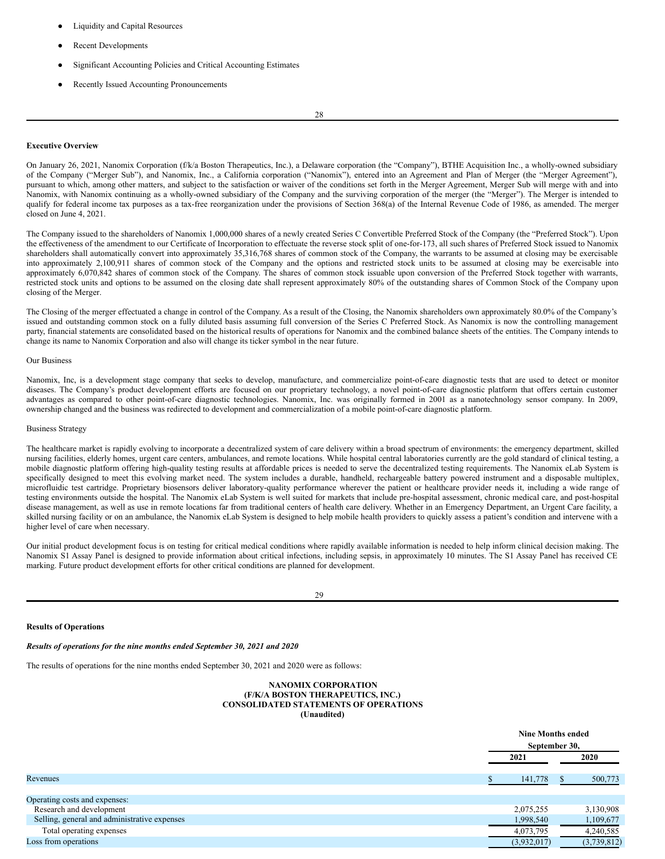- Liquidity and Capital Resources
- **Recent Developments**
- Significant Accounting Policies and Critical Accounting Estimates
- Recently Issued Accounting Pronouncements

# **Executive Overview**

On January 26, 2021, Nanomix Corporation (f/k/a Boston Therapeutics, Inc.), a Delaware corporation (the "Company"), BTHE Acquisition Inc., a wholly-owned subsidiary of the Company ("Merger Sub"), and Nanomix, Inc., a California corporation ("Nanomix"), entered into an Agreement and Plan of Merger (the "Merger Agreement"), pursuant to which, among other matters, and subject to the satisfaction or waiver of the conditions set forth in the Merger Agreement, Merger Sub will merge with and into Nanomix, with Nanomix continuing as a wholly-owned subsidiary of the Company and the surviving corporation of the merger (the "Merger"). The Merger is intended to qualify for federal income tax purposes as a tax-free reorganization under the provisions of Section 368(a) of the Internal Revenue Code of 1986, as amended. The merger closed on June 4, 2021.

The Company issued to the shareholders of Nanomix 1,000,000 shares of a newly created Series C Convertible Preferred Stock of the Company (the "Preferred Stock"). Upon the effectiveness of the amendment to our Certificate of Incorporation to effectuate the reverse stock split of one-for-173, all such shares of Preferred Stock issued to Nanomix shareholders shall automatically convert into approximately 35,316,768 shares of common stock of the Company, the warrants to be assumed at closing may be exercisable into approximately 2,100,911 shares of common stock of the Company and the options and restricted stock units to be assumed at closing may be exercisable into approximately 6,070,842 shares of common stock of the Company. The shares of common stock issuable upon conversion of the Preferred Stock together with warrants, restricted stock units and options to be assumed on the closing date shall represent approximately 80% of the outstanding shares of Common Stock of the Company upon closing of the Merger.

The Closing of the merger effectuated a change in control of the Company. As a result of the Closing, the Nanomix shareholders own approximately 80.0% of the Company's issued and outstanding common stock on a fully diluted basis assuming full conversion of the Series C Preferred Stock. As Nanomix is now the controlling management party, financial statements are consolidated based on the historical results of operations for Nanomix and the combined balance sheets of the entities. The Company intends to change its name to Nanomix Corporation and also will change its ticker symbol in the near future.

### Our Business

Nanomix, Inc, is a development stage company that seeks to develop, manufacture, and commercialize point-of-care diagnostic tests that are used to detect or monitor diseases. The Company's product development efforts are focused on our proprietary technology, a novel point-of-care diagnostic platform that offers certain customer advantages as compared to other point-of-care diagnostic technologies. Nanomix, Inc. was originally formed in 2001 as a nanotechnology sensor company. In 2009, ownership changed and the business was redirected to development and commercialization of a mobile point-of-care diagnostic platform.

### Business Strategy

The healthcare market is rapidly evolving to incorporate a decentralized system of care delivery within a broad spectrum of environments: the emergency department, skilled nursing facilities, elderly homes, urgent care centers, ambulances, and remote locations. While hospital central laboratories currently are the gold standard of clinical testing, a mobile diagnostic platform offering high-quality testing results at affordable prices is needed to serve the decentralized testing requirements. The Nanomix eLab System is specifically designed to meet this evolving market need. The system includes a durable, handheld, rechargeable battery powered instrument and a disposable multiplex, microfluidic test cartridge. Proprietary biosensors deliver laboratory-quality performance wherever the patient or healthcare provider needs it, including a wide range of testing environments outside the hospital. The Nanomix eLab System is well suited for markets that include pre-hospital assessment, chronic medical care, and post-hospital disease management, as well as use in remote locations far from traditional centers of health care delivery. Whether in an Emergency Department, an Urgent Care facility, a skilled nursing facility or on an ambulance, the Nanomix eLab System is designed to help mobile health providers to quickly assess a patient's condition and intervene with a higher level of care when necessary.

Our initial product development focus is on testing for critical medical conditions where rapidly available information is needed to help inform clinical decision making. The Nanomix S1 Assay Panel is designed to provide information about critical infections, including sepsis, in approximately 10 minutes. The S1 Assay Panel has received CE marking. Future product development efforts for other critical conditions are planned for development.

29

# **Results of Operations**

*Results of operations for the nine months ended September 30, 2021 and 2020*

The results of operations for the nine months ended September 30, 2021 and 2020 were as follows:

### **NANOMIX CORPORATION (F/K/A BOSTON THERAPEUTICS, INC.) CONSOLIDATED STATEMENTS OF OPERATIONS (Unaudited)**

|                                              | <b>Nine Months ended</b><br>September 30, |    |             |  |
|----------------------------------------------|-------------------------------------------|----|-------------|--|
|                                              | 2021<br>2020                              |    |             |  |
| Revenues                                     | 141,778                                   | S. | 500,773     |  |
| Operating costs and expenses:                |                                           |    |             |  |
| Research and development                     | 2,075,255                                 |    | 3,130,908   |  |
| Selling, general and administrative expenses | 1,998,540                                 |    | 1,109,677   |  |
| Total operating expenses                     | 4,073,795                                 |    | 4,240,585   |  |
| Loss from operations                         | (3,932,017)                               |    | (3,739,812) |  |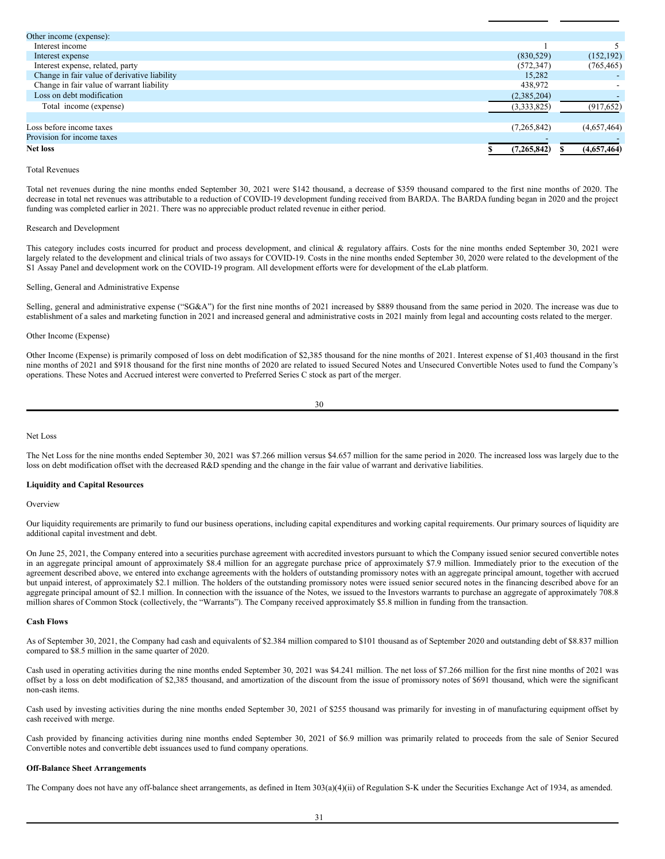| Other income (expense):                      |             |             |
|----------------------------------------------|-------------|-------------|
| Interest income                              |             |             |
| Interest expense                             | (830, 529)  | (152, 192)  |
| Interest expense, related, party             | (572, 347)  | (765, 465)  |
| Change in fair value of derivative liability | 15.282      |             |
| Change in fair value of warrant liability    | 438,972     |             |
| Loss on debt modification                    | (2,385,204) |             |
| Total income (expense)                       | (3,333,825) | (917, 652)  |
|                                              |             |             |
| Loss before income taxes                     | (7,265,842) | (4,657,464) |
| Provision for income taxes                   |             |             |
| <b>Net loss</b>                              | (7,265,842) | (4,657,464) |

# Total Revenues

Total net revenues during the nine months ended September 30, 2021 were \$142 thousand, a decrease of \$359 thousand compared to the first nine months of 2020. The decrease in total net revenues was attributable to a reduction of COVID-19 development funding received from BARDA. The BARDA funding began in 2020 and the project funding was completed earlier in 2021. There was no appreciable product related revenue in either period.

#### Research and Development

This category includes costs incurred for product and process development, and clinical & regulatory affairs. Costs for the nine months ended September 30, 2021 were largely related to the development and clinical trials of two assays for COVID-19. Costs in the nine months ended September 30, 2020 were related to the development of the S1 Assay Panel and development work on the COVID-19 program. All development efforts were for development of the eLab platform.

# Selling, General and Administrative Expense

Selling, general and administrative expense ("SG&A") for the first nine months of 2021 increased by \$889 thousand from the same period in 2020. The increase was due to establishment of a sales and marketing function in 2021 and increased general and administrative costs in 2021 mainly from legal and accounting costs related to the merger.

#### Other Income (Expense)

Other Income (Expense) is primarily composed of loss on debt modification of \$2,385 thousand for the nine months of 2021. Interest expense of \$1,403 thousand in the first nine months of 2021 and \$918 thousand for the first nine months of 2020 are related to issued Secured Notes and Unsecured Convertible Notes used to fund the Company's operations. These Notes and Accrued interest were converted to Preferred Series C stock as part of the merger.

$$
30\,
$$

### Net Loss

The Net Loss for the nine months ended September 30, 2021 was \$7.266 million versus \$4.657 million for the same period in 2020. The increased loss was largely due to the loss on debt modification offset with the decreased R&D spending and the change in the fair value of warrant and derivative liabilities.

#### **Liquidity and Capital Resources**

#### **Overview**

Our liquidity requirements are primarily to fund our business operations, including capital expenditures and working capital requirements. Our primary sources of liquidity are additional capital investment and debt.

On June 25, 2021, the Company entered into a securities purchase agreement with accredited investors pursuant to which the Company issued senior secured convertible notes in an aggregate principal amount of approximately \$8.4 million for an aggregate purchase price of approximately \$7.9 million. Immediately prior to the execution of the agreement described above, we entered into exchange agreements with the holders of outstanding promissory notes with an aggregate principal amount, together with accrued but unpaid interest, of approximately \$2.1 million. The holders of the outstanding promissory notes were issued senior secured notes in the financing described above for an aggregate principal amount of \$2.1 million. In connection with the issuance of the Notes, we issued to the Investors warrants to purchase an aggregate of approximately 708.8 million shares of Common Stock (collectively, the "Warrants"). The Company received approximately \$5.8 million in funding from the transaction.

### **Cash Flows**

As of September 30, 2021, the Company had cash and equivalents of \$2.384 million compared to \$101 thousand as of September 2020 and outstanding debt of \$8.837 million compared to \$8.5 million in the same quarter of 2020.

Cash used in operating activities during the nine months ended September 30, 2021 was \$4.241 million. The net loss of \$7.266 million for the first nine months of 2021 was offset by a loss on debt modification of \$2,385 thousand, and amortization of the discount from the issue of promissory notes of \$691 thousand, which were the significant non-cash items.

Cash used by investing activities during the nine months ended September 30, 2021 of \$255 thousand was primarily for investing in of manufacturing equipment offset by cash received with merge.

Cash provided by financing activities during nine months ended September 30, 2021 of \$6.9 million was primarily related to proceeds from the sale of Senior Secured Convertible notes and convertible debt issuances used to fund company operations.

#### **Off-Balance Sheet Arrangements**

The Company does not have any off-balance sheet arrangements, as defined in Item 303(a)(4)(ii) of Regulation S-K under the Securities Exchange Act of 1934, as amended.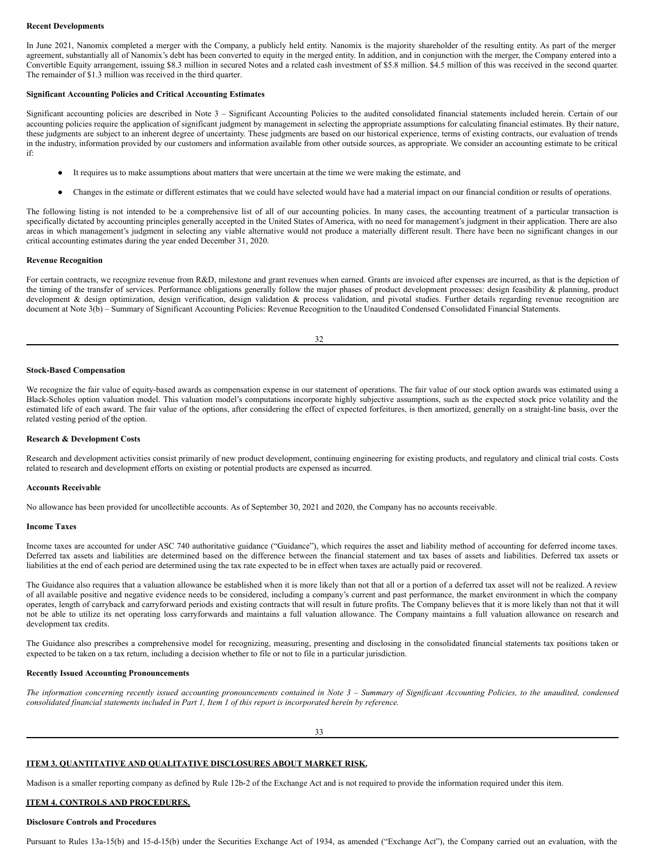### **Recent Developments**

In June 2021, Nanomix completed a merger with the Company, a publicly held entity. Nanomix is the majority shareholder of the resulting entity. As part of the merger agreement, substantially all of Nanomix's debt has been converted to equity in the merged entity. In addition, and in conjunction with the merger, the Company entered into a Convertible Equity arrangement, issuing \$8.3 million in secured Notes and a related cash investment of \$5.8 million. \$4.5 million of this was received in the second quarter. The remainder of \$1.3 million was received in the third quarter.

# **Significant Accounting Policies and Critical Accounting Estimates**

Significant accounting policies are described in Note 3 – Significant Accounting Policies to the audited consolidated financial statements included herein. Certain of our accounting policies require the application of significant judgment by management in selecting the appropriate assumptions for calculating financial estimates. By their nature, these judgments are subject to an inherent degree of uncertainty. These judgments are based on our historical experience, terms of existing contracts, our evaluation of trends in the industry, information provided by our customers and information available from other outside sources, as appropriate. We consider an accounting estimate to be critical if:

- It requires us to make assumptions about matters that were uncertain at the time we were making the estimate, and
- Changes in the estimate or different estimates that we could have selected would have had a material impact on our financial condition or results of operations.

The following listing is not intended to be a comprehensive list of all of our accounting policies. In many cases, the accounting treatment of a particular transaction is specifically dictated by accounting principles generally accepted in the United States of America, with no need for management's judgment in their application. There are also areas in which management's judgment in selecting any viable alternative would not produce a materially different result. There have been no significant changes in our critical accounting estimates during the year ended December 31, 2020.

# **Revenue Recognition**

For certain contracts, we recognize revenue from R&D, milestone and grant revenues when earned. Grants are invoiced after expenses are incurred, as that is the depiction of the timing of the transfer of services. Performance obligations generally follow the major phases of product development processes: design feasibility & planning, product development & design optimization, design verification, design validation & process validation, and pivotal studies. Further details regarding revenue recognition are document at Note 3(b) – Summary of Significant Accounting Policies: Revenue Recognition to the Unaudited Condensed Consolidated Financial Statements.

|                   | v |
|-------------------|---|
| I<br>I<br>i<br>۰. |   |

#### **Stock-Based Compensation**

We recognize the fair value of equity-based awards as compensation expense in our statement of operations. The fair value of our stock option awards was estimated using a Black-Scholes option valuation model. This valuation model's computations incorporate highly subjective assumptions, such as the expected stock price volatility and the estimated life of each award. The fair value of the options, after considering the effect of expected forfeitures, is then amortized, generally on a straight-line basis, over the related vesting period of the option.

#### **Research & Development Costs**

Research and development activities consist primarily of new product development, continuing engineering for existing products, and regulatory and clinical trial costs. Costs related to research and development efforts on existing or potential products are expensed as incurred.

# **Accounts Receivable**

No allowance has been provided for uncollectible accounts. As of September 30, 2021 and 2020, the Company has no accounts receivable.

#### **Income Taxes**

Income taxes are accounted for under ASC 740 authoritative guidance ("Guidance"), which requires the asset and liability method of accounting for deferred income taxes. Deferred tax assets and liabilities are determined based on the difference between the financial statement and tax bases of assets and liabilities. Deferred tax assets or liabilities at the end of each period are determined using the tax rate expected to be in effect when taxes are actually paid or recovered.

The Guidance also requires that a valuation allowance be established when it is more likely than not that all or a portion of a deferred tax asset will not be realized. A review of all available positive and negative evidence needs to be considered, including a company's current and past performance, the market environment in which the company operates, length of carryback and carryforward periods and existing contracts that will result in future profits. The Company believes that it is more likely than not that it will not be able to utilize its net operating loss carryforwards and maintains a full valuation allowance. The Company maintains a full valuation allowance on research and development tax credits.

The Guidance also prescribes a comprehensive model for recognizing, measuring, presenting and disclosing in the consolidated financial statements tax positions taken or expected to be taken on a tax return, including a decision whether to file or not to file in a particular jurisdiction.

# **Recently Issued Accounting Pronouncements**

The information concerning recently issued accounting pronouncements contained in Note 3 - Summary of Significant Accounting Policies, to the unaudited, condensed consolidated financial statements included in Part 1, Item 1 of this report is incorporated herein by reference.

33

#### **ITEM 3. QUANTITATIVE AND QUALITATIVE DISCLOSURES ABOUT MARKET RISK.**

Madison is a smaller reporting company as defined by Rule 12b-2 of the Exchange Act and is not required to provide the information required under this item.

#### **ITEM 4. CONTROLS AND PROCEDURES.**

# **Disclosure Controls and Procedures**

Pursuant to Rules 13a-15(b) and 15-d-15(b) under the Securities Exchange Act of 1934, as amended ("Exchange Act"), the Company carried out an evaluation, with the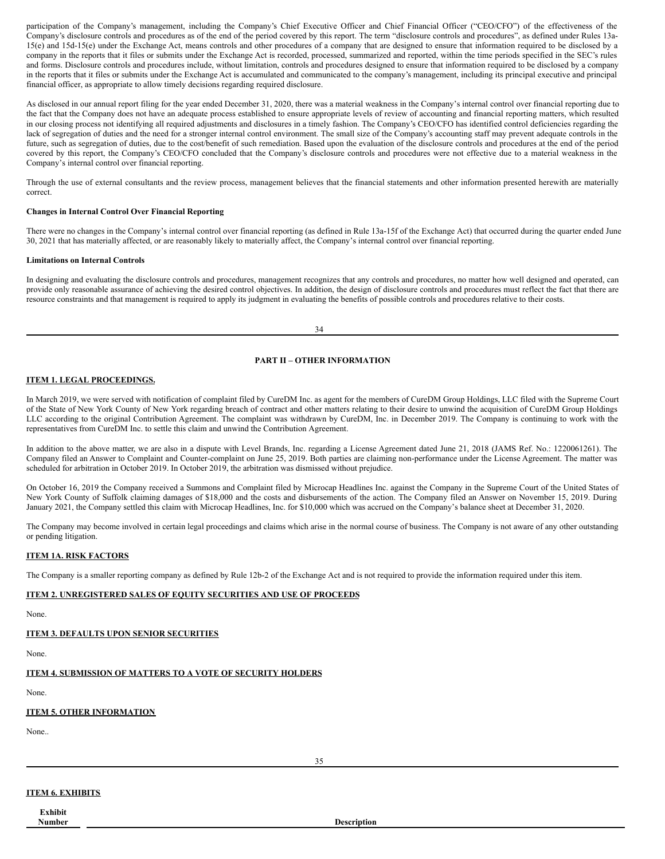participation of the Company's management, including the Company's Chief Executive Officer and Chief Financial Officer ("CEO/CFO") of the effectiveness of the Company's disclosure controls and procedures as of the end of the period covered by this report. The term "disclosure controls and procedures", as defined under Rules 13a-15(e) and 15d-15(e) under the Exchange Act, means controls and other procedures of a company that are designed to ensure that information required to be disclosed by a company in the reports that it files or submits under the Exchange Act is recorded, processed, summarized and reported, within the time periods specified in the SEC's rules and forms. Disclosure controls and procedures include, without limitation, controls and procedures designed to ensure that information required to be disclosed by a company in the reports that it files or submits under the Exchange Act is accumulated and communicated to the company's management, including its principal executive and principal financial officer, as appropriate to allow timely decisions regarding required disclosure.

As disclosed in our annual report filing for the year ended December 31, 2020, there was a material weakness in the Company's internal control over financial reporting due to the fact that the Company does not have an adequate process established to ensure appropriate levels of review of accounting and financial reporting matters, which resulted in our closing process not identifying all required adjustments and disclosures in a timely fashion. The Company's CEO/CFO has identified control deficiencies regarding the lack of segregation of duties and the need for a stronger internal control environment. The small size of the Company's accounting staff may prevent adequate controls in the future, such as segregation of duties, due to the cost/benefit of such remediation. Based upon the evaluation of the disclosure controls and procedures at the end of the period covered by this report, the Company's CEO/CFO concluded that the Company's disclosure controls and procedures were not effective due to a material weakness in the Company's internal control over financial reporting.

Through the use of external consultants and the review process, management believes that the financial statements and other information presented herewith are materially correct.

# **Changes in Internal Control Over Financial Reporting**

There were no changes in the Company's internal control over financial reporting (as defined in Rule 13a-15f of the Exchange Act) that occurred during the quarter ended June 30, 2021 that has materially affected, or are reasonably likely to materially affect, the Company's internal control over financial reporting.

# **Limitations on Internal Controls**

In designing and evaluating the disclosure controls and procedures, management recognizes that any controls and procedures, no matter how well designed and operated, can provide only reasonable assurance of achieving the desired control objectives. In addition, the design of disclosure controls and procedures must reflect the fact that there are resource constraints and that management is required to apply its judgment in evaluating the benefits of possible controls and procedures relative to their costs.

|                    | I<br>٠<br>٠ |
|--------------------|-------------|
| ۰,<br>I<br>×<br>۰. |             |

# **PART II – OTHER INFORMATION**

# **ITEM 1. LEGAL PROCEEDINGS.**

In March 2019, we were served with notification of complaint filed by CureDM Inc. as agent for the members of CureDM Group Holdings, LLC filed with the Supreme Court of the State of New York County of New York regarding breach of contract and other matters relating to their desire to unwind the acquisition of CureDM Group Holdings LLC according to the original Contribution Agreement. The complaint was withdrawn by CureDM, Inc. in December 2019. The Company is continuing to work with the representatives from CureDM Inc. to settle this claim and unwind the Contribution Agreement.

In addition to the above matter, we are also in a dispute with Level Brands, Inc. regarding a License Agreement dated June 21, 2018 (JAMS Ref. No.: 1220061261). The Company filed an Answer to Complaint and Counter-complaint on June 25, 2019. Both parties are claiming non-performance under the License Agreement. The matter was scheduled for arbitration in October 2019. In October 2019, the arbitration was dismissed without prejudice.

On October 16, 2019 the Company received a Summons and Complaint filed by Microcap Headlines Inc. against the Company in the Supreme Court of the United States of New York County of Suffolk claiming damages of \$18,000 and the costs and disbursements of the action. The Company filed an Answer on November 15, 2019. During January 2021, the Company settled this claim with Microcap Headlines, Inc. for \$10,000 which was accrued on the Company's balance sheet at December 31, 2020.

The Company may become involved in certain legal proceedings and claims which arise in the normal course of business. The Company is not aware of any other outstanding or pending litigation.

# **ITEM 1A. RISK FACTORS**

The Company is a smaller reporting company as defined by Rule 12b-2 of the Exchange Act and is not required to provide the information required under this item.

# **ITEM 2. UNREGISTERED SALES OF EQUITY SECURITIES AND USE OF PROCEEDS**

None.

# **ITEM 3. DEFAULTS UPON SENIOR SECURITIES**

None.

# **ITEM 4. SUBMISSION OF MATTERS TO A VOTE OF SECURITY HOLDERS**

None.

# **ITEM 5. OTHER INFORMATION**

None..

35

# **ITEM 6. EXHIBITS**

**Exhibit**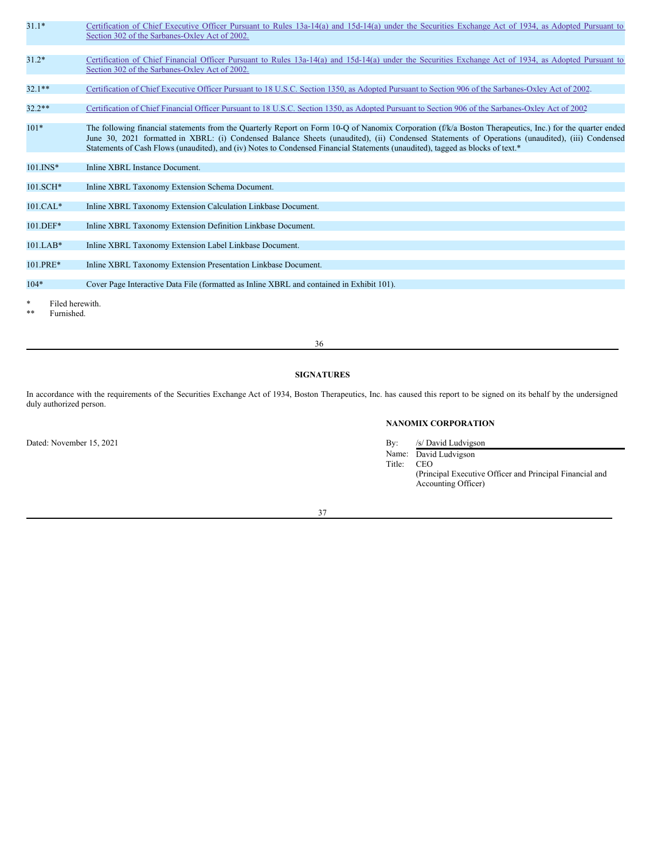| $31.1*$      | Certification of Chief Executive Officer Pursuant to Rules 13a-14(a) and 15d-14(a) under the Securities Exchange Act of 1934, as Adopted Pursuant to<br>Section 302 of the Sarbanes-Oxley Act of 2002.                                                                                                                                                                                                                                        |
|--------------|-----------------------------------------------------------------------------------------------------------------------------------------------------------------------------------------------------------------------------------------------------------------------------------------------------------------------------------------------------------------------------------------------------------------------------------------------|
| $31.2*$      | Certification of Chief Financial Officer Pursuant to Rules 13a-14(a) and 15d-14(a) under the Securities Exchange Act of 1934, as Adopted Pursuant to<br>Section 302 of the Sarbanes-Oxley Act of 2002.                                                                                                                                                                                                                                        |
| $32.1***$    | Certification of Chief Executive Officer Pursuant to 18 U.S.C. Section 1350, as Adopted Pursuant to Section 906 of the Sarbanes-Oxley Act of 2002.                                                                                                                                                                                                                                                                                            |
| $32.2**$     | Certification of Chief Financial Officer Pursuant to 18 U.S.C. Section 1350, as Adopted Pursuant to Section 906 of the Sarbanes-Oxley Act of 2002                                                                                                                                                                                                                                                                                             |
| $101*$       | The following financial statements from the Quarterly Report on Form 10-Q of Nanomix Corporation (f/k/a Boston Therapeutics, Inc.) for the quarter ended<br>June 30, 2021 formatted in XBRL: (i) Condensed Balance Sheets (unaudited), (ii) Condensed Statements of Operations (unaudited), (iii) Condensed<br>Statements of Cash Flows (unaudited), and (iv) Notes to Condensed Financial Statements (unaudited), tagged as blocks of text.* |
| $101$ . INS* | Inline XBRL Instance Document.                                                                                                                                                                                                                                                                                                                                                                                                                |
| 101.SCH*     | Inline XBRL Taxonomy Extension Schema Document.                                                                                                                                                                                                                                                                                                                                                                                               |
| $101.CAL*$   | Inline XBRL Taxonomy Extension Calculation Linkbase Document.                                                                                                                                                                                                                                                                                                                                                                                 |
| 101.DEF*     | Inline XBRL Taxonomy Extension Definition Linkbase Document.                                                                                                                                                                                                                                                                                                                                                                                  |
| $101.LAB*$   | Inline XBRL Taxonomy Extension Label Linkbase Document.                                                                                                                                                                                                                                                                                                                                                                                       |
| 101.PRE*     | Inline XBRL Taxonomy Extension Presentation Linkbase Document.                                                                                                                                                                                                                                                                                                                                                                                |
| $104*$       | Cover Page Interactive Data File (formatted as Inline XBRL and contained in Exhibit 101).                                                                                                                                                                                                                                                                                                                                                     |
| *            | Filed herewith.                                                                                                                                                                                                                                                                                                                                                                                                                               |

\*\* Furnished.

36

# **SIGNATURES**

In accordance with the requirements of the Securities Exchange Act of 1934, Boston Therapeutics, Inc. has caused this report to be signed on its behalf by the undersigned duly authorized person.

# **NANOMIX CORPORATION**

Dated: November 15, 2021 By: /s/ David Ludvigson Name: David Ludvigson<br>Title: CEO  $\rm CEO$ (Principal Executive Officer and Principal Financial and Accounting Officer)

37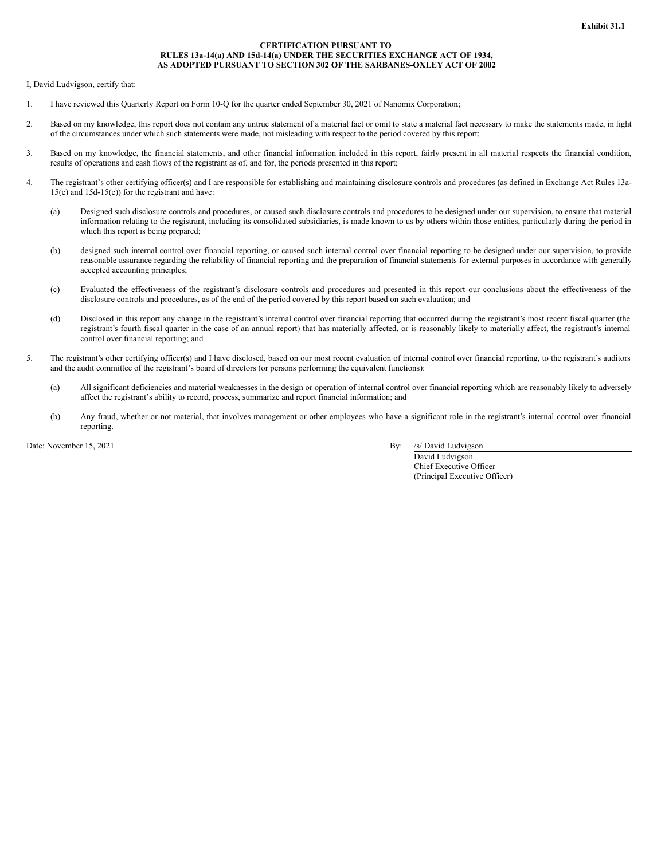# **CERTIFICATION PURSUANT TO RULES 13a-14(a) AND 15d-14(a) UNDER THE SECURITIES EXCHANGE ACT OF 1934, AS ADOPTED PURSUANT TO SECTION 302 OF THE SARBANES-OXLEY ACT OF 2002**

<span id="page-20-0"></span>I, David Ludvigson, certify that:

- 1. I have reviewed this Quarterly Report on Form 10-Q for the quarter ended September 30, 2021 of Nanomix Corporation.;
- 2. Based on my knowledge, this report does not contain any untrue statement of a material fact or omit to state a material fact necessary to make the statements made, in light of the circumstances under which such statements were made, not misleading with respect to the period covered by this report;
- 3. Based on my knowledge, the financial statements, and other financial information included in this report, fairly present in all material respects the financial condition, results of operations and cash flows of the registrant as of, and for, the periods presented in this report;
- 4. The registrant's other certifying officer(s) and I are responsible for establishing and maintaining disclosure controls and procedures (as defined in Exchange Act Rules 13a-15(e) and 15d-15(e)) for the registrant and have:
	- (a) Designed such disclosure controls and procedures, or caused such disclosure controls and procedures to be designed under our supervision, to ensure that material information relating to the registrant, including its consolidated subsidiaries, is made known to us by others within those entities, particularly during the period in which this report is being prepared;
	- (b) designed such internal control over financial reporting, or caused such internal control over financial reporting to be designed under our supervision, to provide reasonable assurance regarding the reliability of financial reporting and the preparation of financial statements for external purposes in accordance with generally accepted accounting principles;
	- (c) Evaluated the effectiveness of the registrant's disclosure controls and procedures and presented in this report our conclusions about the effectiveness of the disclosure controls and procedures, as of the end of the period covered by this report based on such evaluation; and
	- (d) Disclosed in this report any change in the registrant's internal control over financial reporting that occurred during the registrant's most recent fiscal quarter (the registrant's fourth fiscal quarter in the case of an annual report) that has materially affected, or is reasonably likely to materially affect, the registrant's internal control over financial reporting; and
- 5. The registrant's other certifying officer(s) and I have disclosed, based on our most recent evaluation of internal control over financial reporting, to the registrant's auditors and the audit committee of the registrant's board of directors (or persons performing the equivalent functions):
	- (a) All significant deficiencies and material weaknesses in the design or operation of internal control over financial reporting which are reasonably likely to adversely affect the registrant's ability to record, process, summarize and report financial information; and
	- (b) Any fraud, whether or not material, that involves management or other employees who have a significant role in the registrant's internal control over financial reporting.

Date: November 15, 2021 By: /s/ David Ludvigson

David Ludvigson Chief Executive Officer (Principal Executive Officer)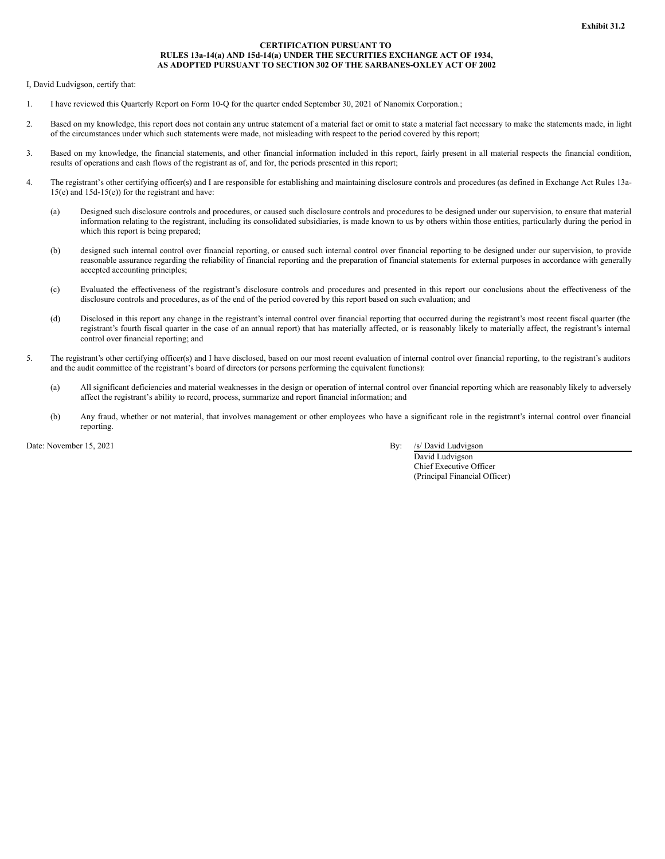# **CERTIFICATION PURSUANT TO RULES 13a-14(a) AND 15d-14(a) UNDER THE SECURITIES EXCHANGE ACT OF 1934, AS ADOPTED PURSUANT TO SECTION 302 OF THE SARBANES-OXLEY ACT OF 2002**

<span id="page-21-0"></span>I, David Ludvigson, certify that:

- 1. I have reviewed this Quarterly Report on Form 10-Q for the quarter ended September 30, 2021 of Nanomix Corporation.;
- 2. Based on my knowledge, this report does not contain any untrue statement of a material fact or omit to state a material fact necessary to make the statements made, in light of the circumstances under which such statements were made, not misleading with respect to the period covered by this report;
- 3. Based on my knowledge, the financial statements, and other financial information included in this report, fairly present in all material respects the financial condition, results of operations and cash flows of the registrant as of, and for, the periods presented in this report;
- 4. The registrant's other certifying officer(s) and I are responsible for establishing and maintaining disclosure controls and procedures (as defined in Exchange Act Rules 13a-15(e) and 15d-15(e)) for the registrant and have:
	- (a) Designed such disclosure controls and procedures, or caused such disclosure controls and procedures to be designed under our supervision, to ensure that material information relating to the registrant, including its consolidated subsidiaries, is made known to us by others within those entities, particularly during the period in which this report is being prepared;
	- (b) designed such internal control over financial reporting, or caused such internal control over financial reporting to be designed under our supervision, to provide reasonable assurance regarding the reliability of financial reporting and the preparation of financial statements for external purposes in accordance with generally accepted accounting principles;
	- (c) Evaluated the effectiveness of the registrant's disclosure controls and procedures and presented in this report our conclusions about the effectiveness of the disclosure controls and procedures, as of the end of the period covered by this report based on such evaluation; and
	- (d) Disclosed in this report any change in the registrant's internal control over financial reporting that occurred during the registrant's most recent fiscal quarter (the registrant's fourth fiscal quarter in the case of an annual report) that has materially affected, or is reasonably likely to materially affect, the registrant's internal control over financial reporting; and
- 5. The registrant's other certifying officer(s) and I have disclosed, based on our most recent evaluation of internal control over financial reporting, to the registrant's auditors and the audit committee of the registrant's board of directors (or persons performing the equivalent functions):
	- (a) All significant deficiencies and material weaknesses in the design or operation of internal control over financial reporting which are reasonably likely to adversely affect the registrant's ability to record, process, summarize and report financial information; and
	- (b) Any fraud, whether or not material, that involves management or other employees who have a significant role in the registrant's internal control over financial reporting.

Date: November 15, 2021 By: /s/ David Ludvigson

David Ludvigson Chief Executive Officer (Principal Financial Officer)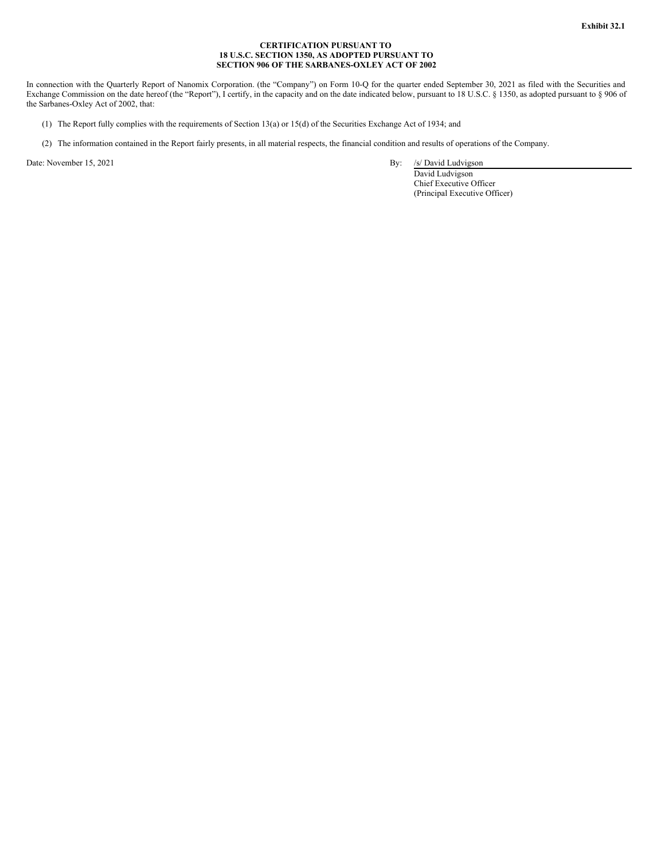# **CERTIFICATION PURSUANT TO 18 U.S.C. SECTION 1350, AS ADOPTED PURSUANT TO SECTION 906 OF THE SARBANES-OXLEY ACT OF 2002**

<span id="page-22-0"></span>In connection with the Quarterly Report of Nanomix Corporation. (the "Company") on Form 10-Q for the quarter ended September 30, 2021 as filed with the Securities and Exchange Commission on the date hereof (the "Report"), I certify, in the capacity and on the date indicated below, pursuant to 18 U.S.C. § 1350, as adopted pursuant to § 906 of the Sarbanes-Oxley Act of 2002, that:

- (1) The Report fully complies with the requirements of Section 13(a) or 15(d) of the Securities Exchange Act of 1934; and
- (2) The information contained in the Report fairly presents, in all material respects, the financial condition and results of operations of the Company.

Date: November 15, 2021 By: /s/ David Ludvigson

David Ludvigson Chief Executive Officer (Principal Executive Officer)